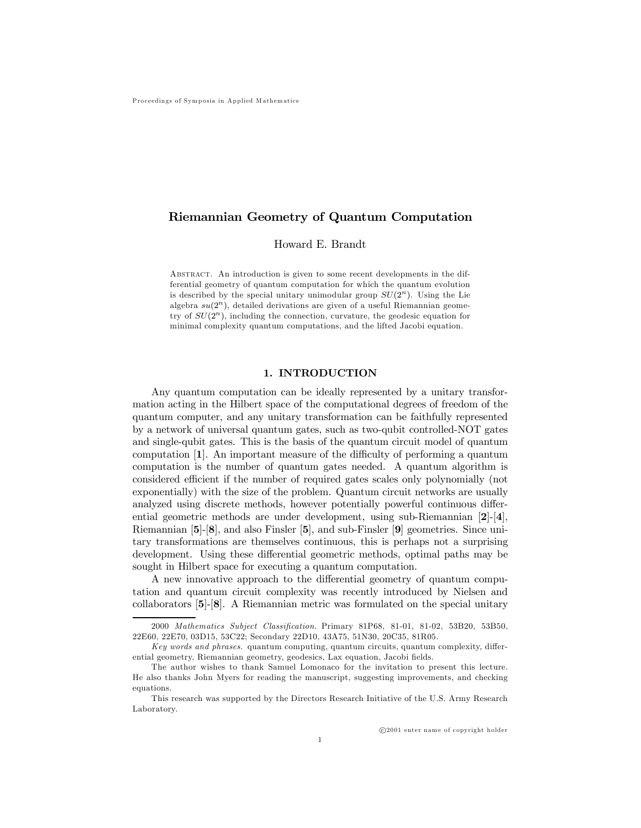## Riemannian Geometry of Quantum Computation

Howard E. Brandt

ABSTRACT. An introduction is given to some recent developments in the differential geometry of quantum computation for which the quantum evolution is described by the special unitary unimodular group  $SU(2<sup>n</sup>)$ . Using the Lie algebra  $su(2^n)$ , detailed derivations are given of a useful Riemannian geometry of  $SU(2<sup>n</sup>)$ , including the connection, curvature, the geodesic equation for minimal complexity quantum computations, and the lifted Jacobi equation.

### 1. INTRODUCTION

Any quantum computation can be ideally represented by a unitary transformation acting in the Hilbert space of the computational degrees of freedom of the quantum computer, and any unitary transformation can be faithfully represented by a network of universal quantum gates, such as two-qubit controlled-NOT gates and single-qubit gates. This is the basis of the quantum circuit model of quantum computation [1]. An important measure of the difficulty of performing a quantum computation is the number of quantum gates needed. A quantum algorithm is considered efficient if the number of required gates scales only polynomially (not exponentially) with the size of the problem. Quantum circuit networks are usually analyzed using discrete methods, however potentially powerful continuous differential geometric methods are under development, using sub-Riemannian [2]-[4], Riemannian [5]-[8], and also Finsler [5], and sub-Finsler [9] geometries. Since unitary transformations are themselves continuous, this is perhaps not a surprising development. Using these differential geometric methods, optimal paths may be sought in Hilbert space for executing a quantum computation.

A new innovative approach to the differential geometry of quantum computation and quantum circuit complexity was recently introduced by Nielsen and collaborators [5]-[8]. A Riemannian metric was formulated on the special unitary

<sup>2000</sup> Mathematics Subject Classification. Primary 81P68, 81-01, 81-02, 53B20, 53B50, 22E60, 22E70, 03D15, 53C22; Secondary 22D10, 43A75, 51N30, 20C35, 81R05.

Key words and phrases. quantum computing, quantum circuits, quantum complexity, differential geometry, Riemannian geometry, geodesics, Lax equation, Jacobi fields.

The author wishes to thank Samuel Lomonaco for the invitation to present this lecture. He also thanks John Myers for reading the manuscript, suggesting improvements, and checking equations.

This research was supported by the Directors Research Initiative of the U.S. Army Research Laboratory.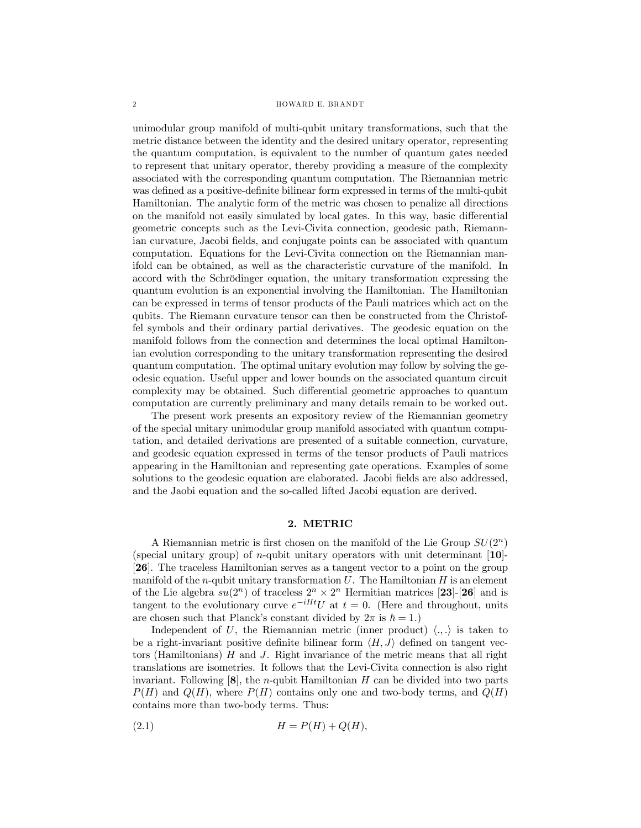#### 2 HOWARD E. BRANDT

unimodular group manifold of multi-qubit unitary transformations, such that the metric distance between the identity and the desired unitary operator, representing the quantum computation, is equivalent to the number of quantum gates needed to represent that unitary operator, thereby providing a measure of the complexity associated with the corresponding quantum computation. The Riemannian metric was defined as a positive-definite bilinear form expressed in terms of the multi-qubit Hamiltonian. The analytic form of the metric was chosen to penalize all directions on the manifold not easily simulated by local gates. In this way, basic differential geometric concepts such as the Levi-Civita connection, geodesic path, Riemannian curvature, Jacobi fields, and conjugate points can be associated with quantum computation. Equations for the Levi-Civita connection on the Riemannian manifold can be obtained, as well as the characteristic curvature of the manifold. In accord with the Schrödinger equation, the unitary transformation expressing the quantum evolution is an exponential involving the Hamiltonian. The Hamiltonian can be expressed in terms of tensor products of the Pauli matrices which act on the qubits. The Riemann curvature tensor can then be constructed from the Christoffel symbols and their ordinary partial derivatives. The geodesic equation on the manifold follows from the connection and determines the local optimal Hamiltonian evolution corresponding to the unitary transformation representing the desired quantum computation. The optimal unitary evolution may follow by solving the geodesic equation. Useful upper and lower bounds on the associated quantum circuit complexity may be obtained. Such differential geometric approaches to quantum computation are currently preliminary and many details remain to be worked out.

The present work presents an expository review of the Riemannian geometry of the special unitary unimodular group manifold associated with quantum computation, and detailed derivations are presented of a suitable connection, curvature, and geodesic equation expressed in terms of the tensor products of Pauli matrices appearing in the Hamiltonian and representing gate operations. Examples of some solutions to the geodesic equation are elaborated. Jacobi fields are also addressed, and the Jaobi equation and the so-called lifted Jacobi equation are derived.

## 2. METRIC

A Riemannian metric is first chosen on the manifold of the Lie Group  $SU(2^n)$ (special unitary group) of *n*-qubit unitary operators with unit determinant  $[10]$ -[26]. The traceless Hamiltonian serves as a tangent vector to a point on the group manifold of the *n*-qubit unitary transformation  $U$ . The Hamiltonian  $H$  is an element of the Lie algebra  $su(2^n)$  of traceless  $2^n \times 2^n$  Hermitian matrices [23]-[26] and is tangent to the evolutionary curve  $e^{-iHt}U$  at  $t=0$ . (Here and throughout, units are chosen such that Planck's constant divided by  $2\pi$  is  $\hbar = 1$ .)

Independent of U, the Riemannian metric (inner product)  $\langle ., . \rangle$  is taken to be a right-invariant positive definite bilinear form  $\langle H, J \rangle$  defined on tangent vectors (Hamiltonians) H and J. Right invariance of the metric means that all right translations are isometries. It follows that the Levi-Civita connection is also right invariant. Following  $[8]$ , the *n*-qubit Hamiltonian H can be divided into two parts  $P(H)$  and  $Q(H)$ , where  $P(H)$  contains only one and two-body terms, and  $Q(H)$ contains more than two-body terms. Thus:

$$
(2.1) \t\t\t H = P(H) + Q(H),
$$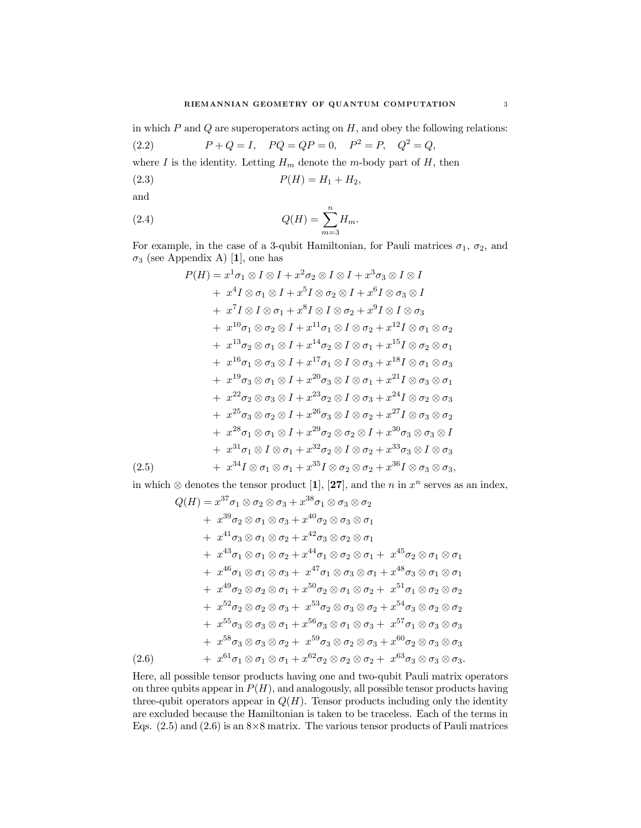in which  $P$  and  $Q$  are superoperators acting on  $H$ , and obey the following relations:

(2.2) 
$$
P + Q = I
$$
,  $PQ = QP = 0$ ,  $P^2 = P$ ,  $Q^2 = Q$ ,

where  $I$  is the identity. Letting  ${\cal H}_m$  denote the  $m\text{-body}$  part of  $H,$  then

$$
(2.3) \t\t P(H) = H_1 + H_2,
$$

and

(2.4) 
$$
Q(H) = \sum_{m=3}^{n} H_m.
$$

For example, in the case of a 3-qubit Hamiltonian, for Pauli matrices  $\sigma_1$ ,  $\sigma_2$ , and  $\sigma_3$  (see Appendix A) [1], one has

$$
P(H) = x^{1} \sigma_{1} \otimes I \otimes I + x^{2} \sigma_{2} \otimes I \otimes I + x^{3} \sigma_{3} \otimes I \otimes I
$$
  
\n
$$
+ x^{4} I \otimes \sigma_{1} \otimes I + x^{5} I \otimes \sigma_{2} \otimes I + x^{6} I \otimes \sigma_{3} \otimes I
$$
  
\n
$$
+ x^{7} I \otimes I \otimes \sigma_{1} + x^{8} I \otimes I \otimes \sigma_{2} + x^{9} I \otimes I \otimes \sigma_{3}
$$
  
\n
$$
+ x^{10} \sigma_{1} \otimes \sigma_{2} \otimes I + x^{11} \sigma_{1} \otimes I \otimes \sigma_{2} + x^{12} I \otimes \sigma_{1} \otimes \sigma_{2}
$$
  
\n
$$
+ x^{13} \sigma_{2} \otimes \sigma_{1} \otimes I + x^{14} \sigma_{2} \otimes I \otimes \sigma_{1} + x^{15} I \otimes \sigma_{2} \otimes \sigma_{1}
$$
  
\n
$$
+ x^{16} \sigma_{1} \otimes \sigma_{3} \otimes I + x^{17} \sigma_{1} \otimes I \otimes \sigma_{3} + x^{18} I \otimes \sigma_{1} \otimes \sigma_{3}
$$
  
\n
$$
+ x^{19} \sigma_{3} \otimes \sigma_{1} \otimes I + x^{20} \sigma_{3} \otimes I \otimes \sigma_{1} + x^{21} I \otimes \sigma_{3} \otimes \sigma_{1}
$$
  
\n
$$
+ x^{22} \sigma_{2} \otimes \sigma_{3} \otimes I + x^{23} \sigma_{2} \otimes I \otimes \sigma_{3} + x^{24} I \otimes \sigma_{2} \otimes \sigma_{3}
$$
  
\n
$$
+ x^{25} \sigma_{3} \otimes \sigma_{2} \otimes I + x^{26} \sigma_{3} \otimes I \otimes \sigma_{2} + x^{27} I \otimes \sigma_{3} \otimes \sigma_{2}
$$
  
\n
$$
+ x^{28} \sigma_{1} \otimes \sigma_{1} \otimes I + x^{29} \sigma_{2} \otimes \sigma_{2} \otimes I + x^{30} \sigma_{3} \otimes \sigma_{3} \otimes I
$$
  
\n<math display="</math>

in which ⊗ denotes the tensor product [1], [27], and the *n* in  $x^n$  serves as an index,

$$
Q(H) = x^{37} \sigma_1 \otimes \sigma_2 \otimes \sigma_3 + x^{38} \sigma_1 \otimes \sigma_3 \otimes \sigma_2
$$
  
+  $x^{39} \sigma_2 \otimes \sigma_1 \otimes \sigma_3 + x^{40} \sigma_2 \otimes \sigma_3 \otimes \sigma_1$   
+  $x^{41} \sigma_3 \otimes \sigma_1 \otimes \sigma_2 + x^{42} \sigma_3 \otimes \sigma_2 \otimes \sigma_1$   
+  $x^{43} \sigma_1 \otimes \sigma_1 \otimes \sigma_2 + x^{44} \sigma_1 \otimes \sigma_2 \otimes \sigma_1 + x^{45} \sigma_2 \otimes \sigma_1 \otimes \sigma_1$   
+  $x^{46} \sigma_1 \otimes \sigma_1 \otimes \sigma_3 + x^{47} \sigma_1 \otimes \sigma_3 \otimes \sigma_1 + x^{48} \sigma_3 \otimes \sigma_1 \otimes \sigma_1$   
+  $x^{49} \sigma_2 \otimes \sigma_2 \otimes \sigma_1 + x^{50} \sigma_2 \otimes \sigma_1 \otimes \sigma_2 + x^{51} \sigma_1 \otimes \sigma_2 \otimes \sigma_2$   
+  $x^{52} \sigma_2 \otimes \sigma_2 \otimes \sigma_3 + x^{53} \sigma_2 \otimes \sigma_3 \otimes \sigma_2 + x^{54} \sigma_3 \otimes \sigma_2 \otimes \sigma_2$   
+  $x^{55} \sigma_3 \otimes \sigma_3 \otimes \sigma_1 + x^{56} \sigma_3 \otimes \sigma_1 \otimes \sigma_3 + x^{57} \sigma_1 \otimes \sigma_3 \otimes \sigma_3$   
+  $x^{58} \sigma_3 \otimes \sigma_3 \otimes \sigma_2 + x^{59} \sigma_3 \otimes \sigma_2 \otimes \sigma_3 + x^{60} \sigma_2 \otimes \sigma_3 \otimes \sigma_3$   
+  $x^{61} \sigma_1 \otimes \sigma_1 \otimes \sigma_1 + x^{62} \sigma_2 \otimes \sigma_2 \otimes \sigma_2 + x^{63} \sigma_3 \otimes \sigma_3$   
(2.6)  $+ x^{61} \sigma_1 \otimes \sigma_1 + x^{62} \sigma_2 \otimes \sigma_2 \otimes \sigma_2 + x^{63} \sigma_$ 

Here, all possible tensor products having one and two-qubit Pauli matrix operators on three qubits appear in  $P(H)$ , and analogously, all possible tensor products having three-qubit operators appear in  $Q(H)$ . Tensor products including only the identity are excluded because the Hamiltonian is taken to be traceless. Each of the terms in Eqs.  $(2.5)$  and  $(2.6)$  is an  $8\times 8$  matrix. The various tensor products of Pauli matrices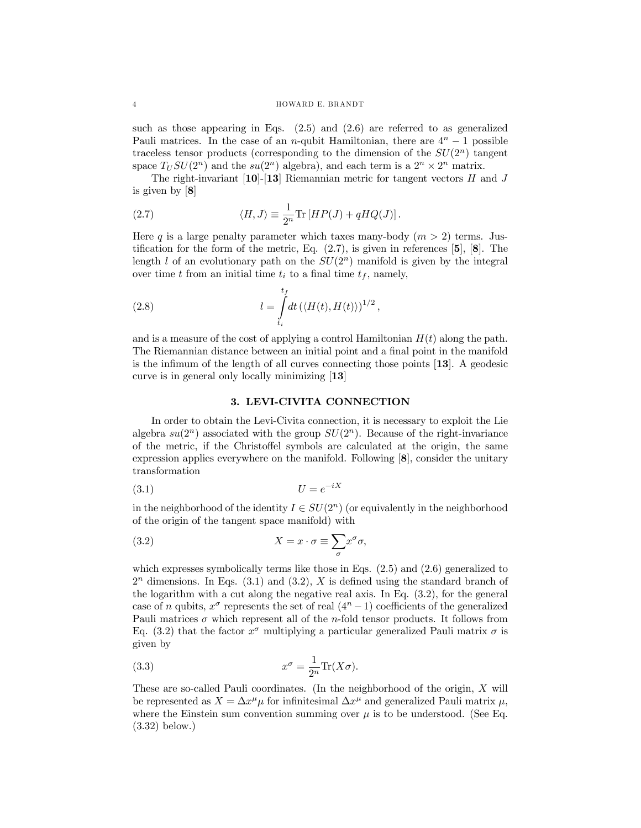#### 4 HOWARD E. BRANDT

such as those appearing in Eqs.  $(2.5)$  and  $(2.6)$  are referred to as generalized Pauli matrices. In the case of an n-qubit Hamiltonian, there are  $4^n - 1$  possible traceless tensor products (corresponding to the dimension of the  $SU(2<sup>n</sup>)$  tangent space  $T_U SU(2^n)$  and the  $su(2^n)$  algebra), and each term is a  $2^n \times 2^n$  matrix.

The right-invariant  $[10]$ - $[13]$  Riemannian metric for tangent vectors H and J is given by [8]

(2.7) 
$$
\langle H, J \rangle \equiv \frac{1}{2^n} \text{Tr} \left[ H P(J) + q H Q(J) \right].
$$

Here q is a large penalty parameter which taxes many-body  $(m > 2)$  terms. Justification for the form of the metric, Eq.  $(2.7)$ , is given in references  $[5]$ ,  $[8]$ . The length l of an evolutionary path on the  $SU(2<sup>n</sup>)$  manifold is given by the integral over time t from an initial time  $t_i$  to a final time  $t_f$ , namely,

(2.8) 
$$
l = \int_{t_i}^{t_f} dt \left( \langle H(t), H(t) \rangle \right)^{1/2},
$$

and is a measure of the cost of applying a control Hamiltonian  $H(t)$  along the path. The Riemannian distance between an initial point and a final point in the manifold is the infimum of the length of all curves connecting those points [13]. A geodesic curve is in general only locally minimizing [13]

#### 3. LEVI-CIVITA CONNECTION

In order to obtain the Levi-Civita connection, it is necessary to exploit the Lie algebra  $su(2^n)$  associated with the group  $SU(2^n)$ . Because of the right-invariance of the metric, if the Christoffel symbols are calculated at the origin, the same expression applies everywhere on the manifold. Following [8], consider the unitary transformation

$$
(3.1)\t\t\t U = e^{-iX}
$$

in the neighborhood of the identity  $I \in SU(2<sup>n</sup>)$  (or equivalently in the neighborhood of the origin of the tangent space manifold) with

(3.2) 
$$
X = x \cdot \sigma \equiv \sum_{\sigma} x^{\sigma} \sigma,
$$

which expresses symbolically terms like those in Eqs. (2.5) and (2.6) generalized to  $2<sup>n</sup>$  dimensions. In Eqs. (3.1) and (3.2), X is defined using the standard branch of the logarithm with a cut along the negative real axis. In Eq. (3.2), for the general case of n qubits,  $x^{\sigma}$  represents the set of real  $(4^{n}-1)$  coefficients of the generalized Pauli matrices  $\sigma$  which represent all of the *n*-fold tensor products. It follows from Eq. (3.2) that the factor  $x^{\sigma}$  multiplying a particular generalized Pauli matrix  $\sigma$  is given by

(3.3) 
$$
x^{\sigma} = \frac{1}{2^n} \text{Tr}(X\sigma).
$$

These are so-called Pauli coordinates. (In the neighborhood of the origin, X will be represented as  $X = \Delta x^{\mu} \mu$  for infinitesimal  $\Delta x^{\mu}$  and generalized Pauli matrix  $\mu$ , where the Einstein sum convention summing over  $\mu$  is to be understood. (See Eq. (3.32) below.)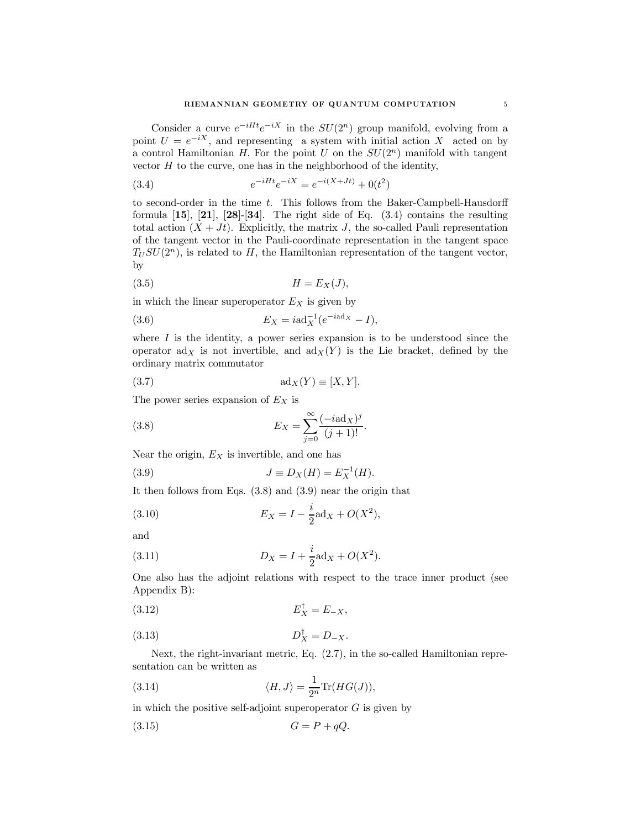Consider a curve  $e^{-iHt}e^{-iX}$  in the  $SU(2<sup>n</sup>)$  group manifold, evolving from a point  $U = e^{-iX}$ , and representing a system with initial action X acted on by a control Hamiltonian H. For the point U on the  $SU(2<sup>n</sup>)$  manifold with tangent vector  $H$  to the curve, one has in the neighborhood of the identity,

(3.4) 
$$
e^{-iHt}e^{-iX} = e^{-i(X+Jt)} + 0(t^2)
$$

to second-order in the time  $t$ . This follows from the Baker-Campbell-Hausdorff formula  $[15]$ ,  $[21]$ ,  $[28]$ - $[34]$ . The right side of Eq.  $(3.4)$  contains the resulting total action  $(X + Jt)$ . Explicitly, the matrix J, the so-called Pauli representation of the tangent vector in the Pauli-coordinate representation in the tangent space  $T_U SU(2^n)$ , is related to H, the Hamiltonian representation of the tangent vector, by

$$
(3.5) \t\t\t H = E_X(J),
$$

in which the linear superoperator  $E_X$  is given by

(3.6) 
$$
E_X = i\mathrm{ad}_X^{-1}(e^{-i\mathrm{ad}_X} - I),
$$

where  $I$  is the identity, a power series expansion is to be understood since the operator  $\text{ad}_X$  is not invertible, and  $\text{ad}_X(Y)$  is the Lie bracket, defined by the ordinary matrix commutator

(3.7) 
$$
ad_X(Y) \equiv [X, Y].
$$

The power series expansion of  $E<sub>X</sub>$  is

(3.8) 
$$
E_X = \sum_{j=0}^{\infty} \frac{(-i \text{ad}_X)^j}{(j+1)!}.
$$

Near the origin,  $E_X$  is invertible, and one has

(3.9) 
$$
J \equiv D_X(H) = E_X^{-1}(H).
$$

It then follows from Eqs. (3.8) and (3.9) near the origin that

(3.10) 
$$
E_X = I - \frac{i}{2} \text{ad}_X + O(X^2),
$$

and

(3.11) 
$$
D_X = I + \frac{i}{2} \text{ad}_X + O(X^2).
$$

One also has the adjoint relations with respect to the trace inner product (see Appendix B):

$$
E_X^{\dagger} = E_{-X},
$$

(3.13) 
$$
D_X^{\dagger} = D_{-X}.
$$

Next, the right-invariant metric, Eq. (2.7), in the so-called Hamiltonian representation can be written as

(3.14) 
$$
\langle H, J \rangle = \frac{1}{2^n} \text{Tr}(HG(J)),
$$

in which the positive self-adjoint superoperator  $G$  is given by

$$
(3.15) \tG = P + qQ.
$$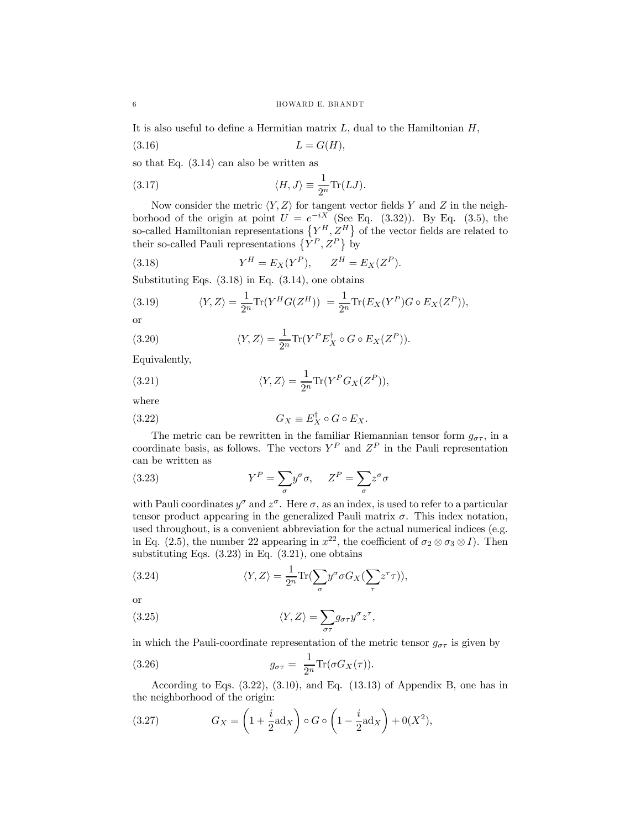It is also useful to define a Hermitian matrix  $L$ , dual to the Hamiltonian  $H$ ,

$$
(3.16)\qquad \qquad L = G(H),
$$

so that Eq. (3.14) can also be written as

(3.17) 
$$
\langle H, J \rangle \equiv \frac{1}{2^n} \text{Tr}(LJ).
$$

Now consider the metric  $\langle Y, Z \rangle$  for tangent vector fields Y and Z in the neighborhood of the origin at point  $U = e^{-iX}$  (See Eq. (3.32)). By Eq. (3.5), the so-called Hamiltonian representations  ${Y^H, Z^H}$  of the vector fields are related to their so-called Pauli representations  $\{\hat{Y}^P, Z^P\}$  by

(3.18) 
$$
Y^H = E_X(Y^P), \qquad Z^H = E_X(Z^P).
$$

Substituting Eqs.  $(3.18)$  in Eq.  $(3.14)$ , one obtains

(3.19) 
$$
\langle Y, Z \rangle = \frac{1}{2^n} \text{Tr}(Y^H G(Z^H)) = \frac{1}{2^n} \text{Tr}(E_X(Y^P) G \circ E_X(Z^P)),
$$

or

(3.20) 
$$
\langle Y, Z \rangle = \frac{1}{2^n} \text{Tr}(Y^P E_X^{\dagger} \circ G \circ E_X(Z^P)).
$$

Equivalently,

(3.21) 
$$
\langle Y, Z \rangle = \frac{1}{2^n} \text{Tr}(Y^P G_X(Z^P)),
$$

where

(3.22) 
$$
G_X \equiv E_X^{\dagger} \circ G \circ E_X.
$$

The metric can be rewritten in the familiar Riemannian tensor form  $g_{\sigma\tau}$ , in a coordinate basis, as follows. The vectors  $Y^P$  and  $Z^P$  in the Pauli representation can be written as

(3.23) 
$$
Y^{P} = \sum_{\sigma} y^{\sigma} \sigma, \quad Z^{P} = \sum_{\sigma} z^{\sigma} \sigma
$$

with Pauli coordinates  $y^{\sigma}$  and  $z^{\sigma}$ . Here  $\sigma$ , as an index, is used to refer to a particular tensor product appearing in the generalized Pauli matrix  $\sigma$ . This index notation, used throughout, is a convenient abbreviation for the actual numerical indices (e.g. in Eq. (2.5), the number 22 appearing in  $x^{22}$ , the coefficient of  $\sigma_2 \otimes \sigma_3 \otimes I$ ). Then substituting Eqs. (3.23) in Eq. (3.21), one obtains

(3.24) 
$$
\langle Y, Z \rangle = \frac{1}{2^n} \text{Tr} \left( \sum_{\sigma} y^{\sigma} \sigma G_X \left( \sum_{\tau} z^{\tau} \tau \right) \right),
$$

or

(3.25) 
$$
\langle Y, Z \rangle = \sum_{\sigma \tau} g_{\sigma \tau} y^{\sigma} z^{\tau},
$$

in which the Pauli-coordinate representation of the metric tensor  $g_{\sigma\tau}$  is given by

(3.26) 
$$
g_{\sigma\tau} = \frac{1}{2^n} \text{Tr}(\sigma G_X(\tau)).
$$

According to Eqs.  $(3.22)$ ,  $(3.10)$ , and Eq.  $(13.13)$  of Appendix B, one has in the neighborhood of the origin:

(3.27) 
$$
G_X = \left(1 + \frac{i}{2} \mathrm{ad}_X\right) \circ G \circ \left(1 - \frac{i}{2} \mathrm{ad}_X\right) + 0(X^2),
$$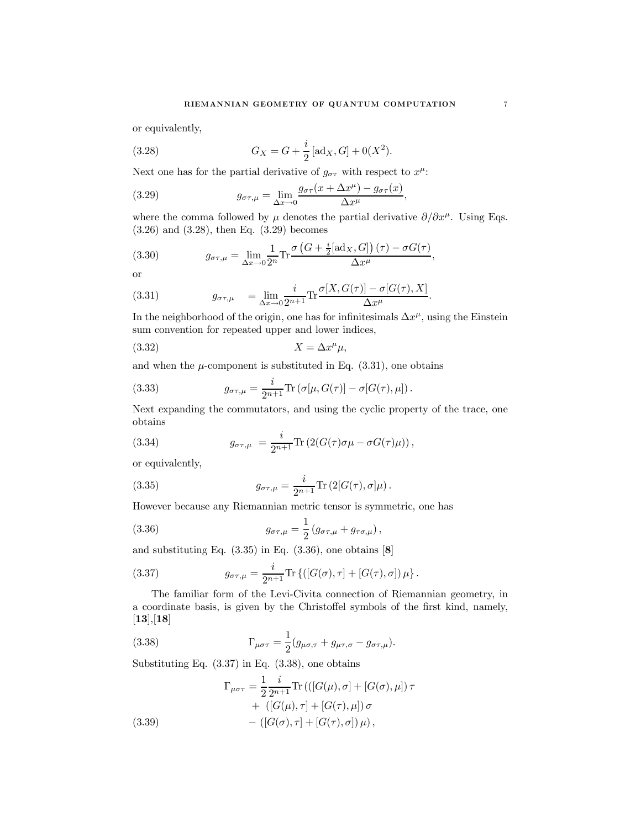or equivalently,

(3.28) 
$$
G_X = G + \frac{i}{2} [\text{ad}_X, G] + 0(X^2).
$$

Next one has for the partial derivative of  $g_{\sigma\tau}$  with respect to  $x^{\mu}$ :

(3.29) 
$$
g_{\sigma\tau,\mu} = \lim_{\Delta x \to 0} \frac{g_{\sigma\tau}(x + \Delta x^{\mu}) - g_{\sigma\tau}(x)}{\Delta x^{\mu}},
$$

where the comma followed by  $\mu$  denotes the partial derivative  $\partial/\partial x^{\mu}$ . Using Eqs. (3.26) and (3.28), then Eq. (3.29) becomes

¡

(3.30) 
$$
g_{\sigma\tau,\mu} = \lim_{\Delta x \to 0} \frac{1}{2^n} \text{Tr} \frac{\sigma \left( G + \frac{i}{2} [\text{ad}_X, G] \right) (\tau) - \sigma G(\tau)}{\Delta x^{\mu}},
$$

or

(3.31) 
$$
g_{\sigma\tau,\mu} = \lim_{\Delta x \to 0} \frac{i}{2^{n+1}} \text{Tr} \frac{\sigma[X, G(\tau)] - \sigma[G(\tau), X]}{\Delta x^{\mu}}.
$$

In the neighborhood of the origin, one has for infinitesimals  $\Delta x^{\mu}$ , using the Einstein sum convention for repeated upper and lower indices,

$$
(3.32)\t\t\t X = \Delta x^{\mu}\mu,
$$

and when the  $\mu$ -component is substituted in Eq.  $(3.31)$ , one obtains

(3.33) 
$$
g_{\sigma\tau,\mu} = \frac{i}{2^{n+1}} \text{Tr} \left( \sigma[\mu, G(\tau)] - \sigma[G(\tau), \mu] \right).
$$

Next expanding the commutators, and using the cyclic property of the trace, one obtains

(3.34) 
$$
g_{\sigma\tau,\mu} = \frac{i}{2^{n+1}} \text{Tr} (2(G(\tau)\sigma\mu - \sigma G(\tau)\mu)),
$$

or equivalently,

(3.35) 
$$
g_{\sigma\tau,\mu} = \frac{i}{2^{n+1}} \text{Tr} (2[G(\tau),\sigma]\mu).
$$

However because any Riemannian metric tensor is symmetric, one has

(3.36) 
$$
g_{\sigma\tau,\mu} = \frac{1}{2} (g_{\sigma\tau,\mu} + g_{\tau\sigma,\mu}),
$$

and substituting Eq.  $(3.35)$  in Eq.  $(3.36)$ , one obtains  $[8]$ 

(3.37) 
$$
g_{\sigma\tau,\mu} = \frac{i}{2^{n+1}} \text{Tr}\left\{ ([G(\sigma), \tau] + [G(\tau), \sigma]) \mu \right\}.
$$

The familiar form of the Levi-Civita connection of Riemannian geometry, in a coordinate basis, is given by the Christoffel symbols of the first kind, namely,  $[13],[18]$ 

(3.38) 
$$
\Gamma_{\mu\sigma\tau} = \frac{1}{2} (g_{\mu\sigma,\tau} + g_{\mu\tau,\sigma} - g_{\sigma\tau,\mu}).
$$

Substituting Eq. (3.37) in Eq. (3.38), one obtains

(3.39)  
\n
$$
\Gamma_{\mu\sigma\tau} = \frac{1}{2} \frac{i}{2^{n+1}} \text{Tr} \left( \left( [G(\mu), \sigma] + [G(\sigma), \mu] \right) \tau + \left( [G(\mu), \tau] + [G(\tau), \mu] \right) \sigma - \left( [G(\sigma), \tau] + [G(\tau), \sigma] \right) \mu \right),
$$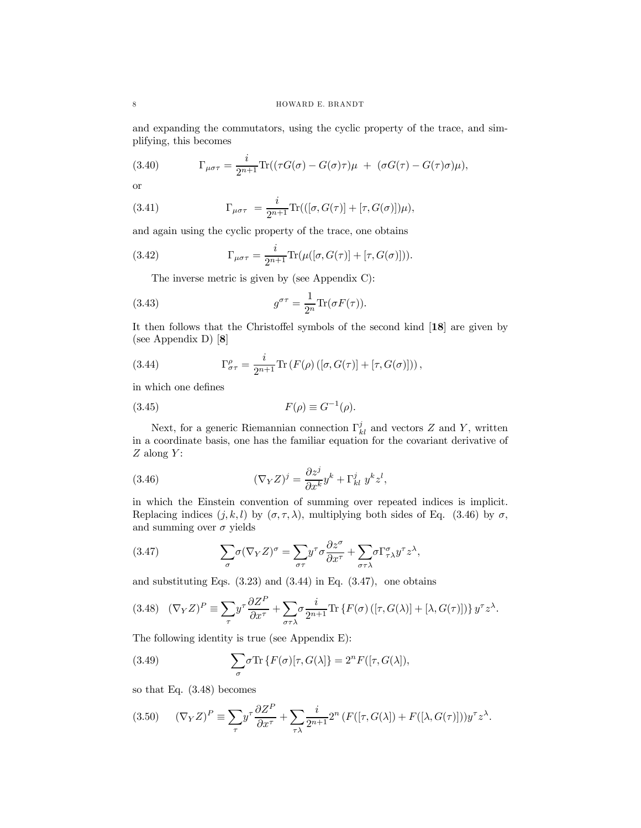and expanding the commutators, using the cyclic property of the trace, and simplifying, this becomes

(3.40) 
$$
\Gamma_{\mu\sigma\tau} = \frac{i}{2^{n+1}} \text{Tr}((\tau G(\sigma) - G(\sigma)\tau)\mu + (\sigma G(\tau) - G(\tau)\sigma)\mu),
$$

or

(3.41) 
$$
\Gamma_{\mu\sigma\tau} = \frac{i}{2^{n+1}} \text{Tr}(([\sigma, G(\tau)] + [\tau, G(\sigma)])\mu),
$$

and again using the cyclic property of the trace, one obtains

(3.42) 
$$
\Gamma_{\mu\sigma\tau} = \frac{i}{2^{n+1}} \text{Tr}(\mu([\sigma, G(\tau)] + [\tau, G(\sigma)])).
$$

The inverse metric is given by (see Appendix C):

(3.43) 
$$
g^{\sigma\tau} = \frac{1}{2^n} \text{Tr}(\sigma F(\tau)).
$$

It then follows that the Christoffel symbols of the second kind [18] are given by (see Appendix D) [8]

(3.44) 
$$
\Gamma^{\rho}_{\sigma\tau} = \frac{i}{2^{n+1}} \text{Tr} \left( F(\rho) \left( [\sigma, G(\tau)] + [\tau, G(\sigma)] \right) \right),
$$

in which one defines

$$
(3.45) \t\t F(\rho) \equiv G^{-1}(\rho).
$$

Next, for a generic Riemannian connection  $\Gamma_{kl}^{j}$  and vectors Z and Y, written in a coordinate basis, one has the familiar equation for the covariant derivative of  $Z$  along  $Y$ :

(3.46) 
$$
(\nabla_Y Z)^j = \frac{\partial z^j}{\partial x^k} y^k + \Gamma^j_{kl} y^k z^l,
$$

in which the Einstein convention of summing over repeated indices is implicit. Replacing indices  $(j, k, l)$  by  $(\sigma, \tau, \lambda)$ , multiplying both sides of Eq. (3.46) by  $\sigma$ , and summing over  $\sigma$  yields

(3.47) 
$$
\sum_{\sigma} \sigma (\nabla_Y Z)^{\sigma} = \sum_{\sigma \tau} y^{\tau} \sigma \frac{\partial z^{\sigma}}{\partial x^{\tau}} + \sum_{\sigma \tau \lambda} \sigma \Gamma^{\sigma}_{\tau \lambda} y^{\tau} z^{\lambda},
$$

and substituting Eqs.  $(3.23)$  and  $(3.44)$  in Eq.  $(3.47)$ , one obtains

$$
(3.48)\quad (\nabla_Y Z)^P \equiv \sum_{\tau} y^{\tau} \frac{\partial Z^P}{\partial x^{\tau}} + \sum_{\sigma \tau \lambda} \sigma \frac{i}{2^{n+1}} \text{Tr} \left\{ F(\sigma) \left( [\tau, G(\lambda)] + [\lambda, G(\tau)] \right) \right\} y^{\tau} z^{\lambda}.
$$

The following identity is true (see Appendix E):

(3.49) 
$$
\sum_{\sigma} \sigma \text{Tr} \left\{ F(\sigma) [\tau, G(\lambda)] \right\} = 2^n F([\tau, G(\lambda]),
$$

so that Eq. (3.48) becomes

(3.50) 
$$
(\nabla_Y Z)^P \equiv \sum_{\tau} y^{\tau} \frac{\partial Z^P}{\partial x^{\tau}} + \sum_{\tau \lambda} \frac{i}{2^{n+1}} 2^n \left( F([\tau, G(\lambda]) + F([\lambda, G(\tau)] \right)) y^{\tau} z^{\lambda}.
$$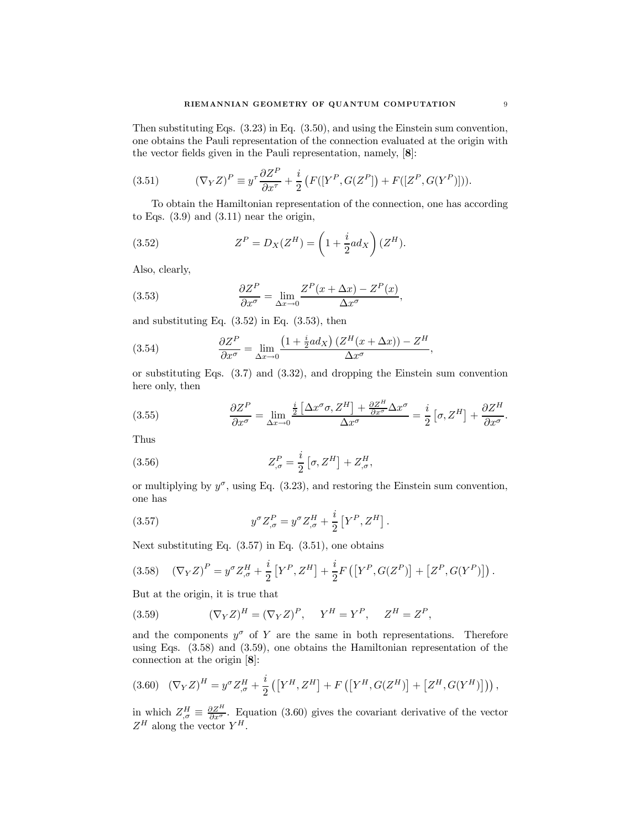Then substituting Eqs. (3.23) in Eq. (3.50), and using the Einstein sum convention, one obtains the Pauli representation of the connection evaluated at the origin with the vector fields given in the Pauli representation, namely, [8]:

(3.51) 
$$
(\nabla_Y Z)^P \equiv y^\tau \frac{\partial Z^P}{\partial x^\tau} + \frac{i}{2} \left( F([Y^P, G(Z^P]) + F([Z^P, G(Y^P)] ) \right).
$$

To obtain the Hamiltonian representation of the connection, one has according to Eqs.  $(3.9)$  and  $(3.11)$  near the origin,

(3.52) 
$$
Z^{P} = D_{X}(Z^{H}) = \left(1 + \frac{i}{2}ad_{X}\right)(Z^{H}).
$$

Also, clearly,

(3.53) 
$$
\frac{\partial Z^P}{\partial x^{\sigma}} = \lim_{\Delta x \to 0} \frac{Z^P(x + \Delta x) - Z^P(x)}{\Delta x^{\sigma}},
$$

and substituting Eq.  $(3.52)$  in Eq.  $(3.53)$ , then

(3.54) 
$$
\frac{\partial Z^P}{\partial x^{\sigma}} = \lim_{\Delta x \to 0} \frac{\left(1 + \frac{i}{2}ad_X\right)\left(Z^H(x + \Delta x)\right) - Z^H}{\Delta x^{\sigma}},
$$

or substituting Eqs. (3.7) and (3.32), and dropping the Einstein sum convention here only, then

(3.55) 
$$
\frac{\partial Z^P}{\partial x^{\sigma}} = \lim_{\Delta x \to 0} \frac{\frac{i}{2} \left[ \Delta x^{\sigma} \sigma, Z^H \right] + \frac{\partial Z^H}{\partial x^{\sigma}} \Delta x^{\sigma}}{\Delta x^{\sigma}} = \frac{i}{2} \left[ \sigma, Z^H \right] + \frac{\partial Z^H}{\partial x^{\sigma}}.
$$

Thus

(3.56) 
$$
Z_{,\sigma}^{P} = \frac{i}{2} \left[ \sigma, Z^{H} \right] + Z_{,\sigma}^{H},
$$

or multiplying by  $y^{\sigma}$ , using Eq. (3.23), and restoring the Einstein sum convention, one has

(3.57) 
$$
y^{\sigma} Z_{,\sigma}^{P} = y^{\sigma} Z_{,\sigma}^{H} + \frac{i}{2} \left[ Y^{P}, Z^{H} \right].
$$

Next substituting Eq.  $(3.57)$  in Eq.  $(3.51)$ , one obtains

$$
(3.58)\quad (\nabla_Y Z)^P = y^\sigma Z^H_{,\sigma} + \frac{i}{2} \left[ Y^P, Z^H \right] + \frac{i}{2} F\left( \left[ Y^P, G(Z^P) \right] + \left[ Z^P, G(Y^P) \right] \right).
$$

But at the origin, it is true that

(3.59) 
$$
(\nabla_Y Z)^H = (\nabla_Y Z)^P, \quad Y^H = Y^P, \quad Z^H = Z^P,
$$

and the components  $y^{\sigma}$  of Y are the same in both representations. Therefore using Eqs. (3.58) and (3.59), one obtains the Hamiltonian representation of the connection at the origin [8]:

$$
(3.60)\quad (\nabla_Y Z)^H = y^\sigma Z^H_{,\sigma} + \frac{i}{2} \left( \left[ Y^H, Z^H \right] + F \left( \left[ Y^H, G(Z^H) \right] + \left[ Z^H, G(Y^H) \right] \right) \right),
$$

in which  $Z_{,\sigma}^H \equiv \frac{\partial Z^H}{\partial x^{\sigma}}$ . Equation (3.60) gives the covariant derivative of the vector  $Z^H$  along the vector  $Y^H$ .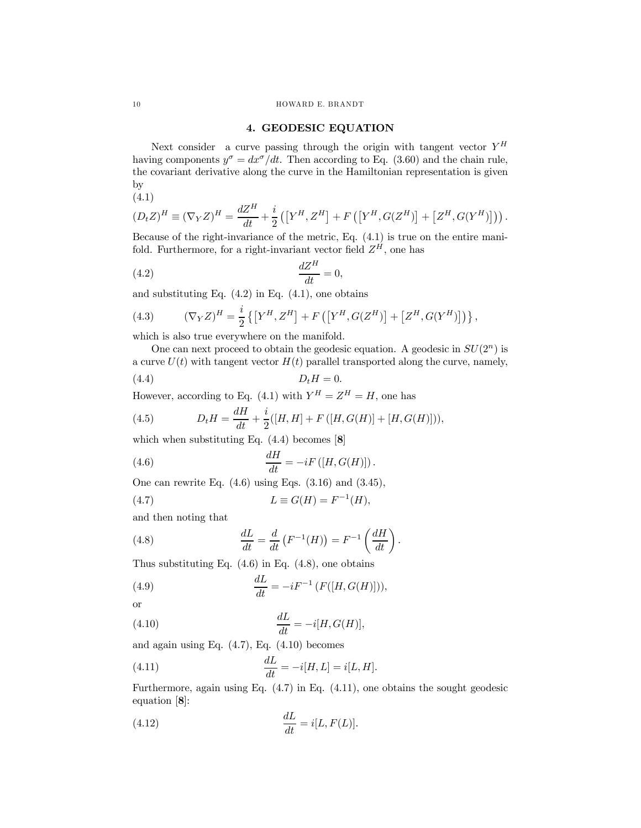#### 4. GEODESIC EQUATION

Next consider a curve passing through the origin with tangent vector  $Y^H$ having components  $y^{\sigma} = dx^{\sigma}/dt$ . Then according to Eq. (3.60) and the chain rule, the covariant derivative along the curve in the Hamiltonian representation is given by

(4.1)

$$
(D_t Z)^H \equiv (\nabla_Y Z)^H = \frac{dZ^H}{dt} + \frac{i}{2} \left( \left[ Y^H, Z^H \right] + F \left( \left[ Y^H, G(Z^H) \right] + \left[ Z^H, G(Y^H) \right] \right) \right).
$$

Because of the right-invariance of the metric, Eq. (4.1) is true on the entire manifold. Furthermore, for a right-invariant vector field  $Z^{\hat{H}}$ , one has

$$
\frac{dZ^H}{dt} = 0,
$$

and substituting Eq.  $(4.2)$  in Eq.  $(4.1)$ , one obtains

(4.3) 
$$
(\nabla_Y Z)^H = \frac{i}{2} \left\{ \left[ Y^H, Z^H \right] + F \left( \left[ Y^H, G(Z^H) \right] + \left[ Z^H, G(Y^H) \right] \right) \right\},
$$

which is also true everywhere on the manifold.

One can next proceed to obtain the geodesic equation. A geodesic in  $SU(2<sup>n</sup>)$  is a curve  $U(t)$  with tangent vector  $H(t)$  parallel transported along the curve, namely,

$$
(4.4) \t\t D_t H = 0.
$$

However, according to Eq. (4.1) with  $Y^H = Z^H = H$ , one has

(4.5) 
$$
D_t H = \frac{dH}{dt} + \frac{i}{2}([H, H] + F([H, G(H)] + [H, G(H)])),
$$

which when substituting Eq. (4.4) becomes [8]

(4.6) 
$$
\frac{dH}{dt} = -iF\left([H, G(H)]\right).
$$

One can rewrite Eq.  $(4.6)$  using Eqs.  $(3.16)$  and  $(3.45)$ ,

$$
(4.7) \tL \equiv G(H) = F^{-1}(H),
$$

and then noting that

(4.8) 
$$
\frac{dL}{dt} = \frac{d}{dt} \left( F^{-1}(H) \right) = F^{-1} \left( \frac{dH}{dt} \right)
$$

Thus substituting Eq.  $(4.6)$  in Eq.  $(4.8)$ , one obtains

(4.9) 
$$
\frac{dL}{dt} = -iF^{-1}(F([H, G(H)])),
$$

$$
\quad \text{or} \quad
$$

(4.10) 
$$
\frac{dL}{dt} = -i[H, G(H)],
$$

and again using Eq.  $(4.7)$ , Eq.  $(4.10)$  becomes

(4.11) 
$$
\frac{dL}{dt} = -i[H, L] = i[L, H].
$$

Furthermore, again using Eq. (4.7) in Eq. (4.11), one obtains the sought geodesic equation [8]:

.

(4.12) 
$$
\frac{dL}{dt} = i[L, F(L)].
$$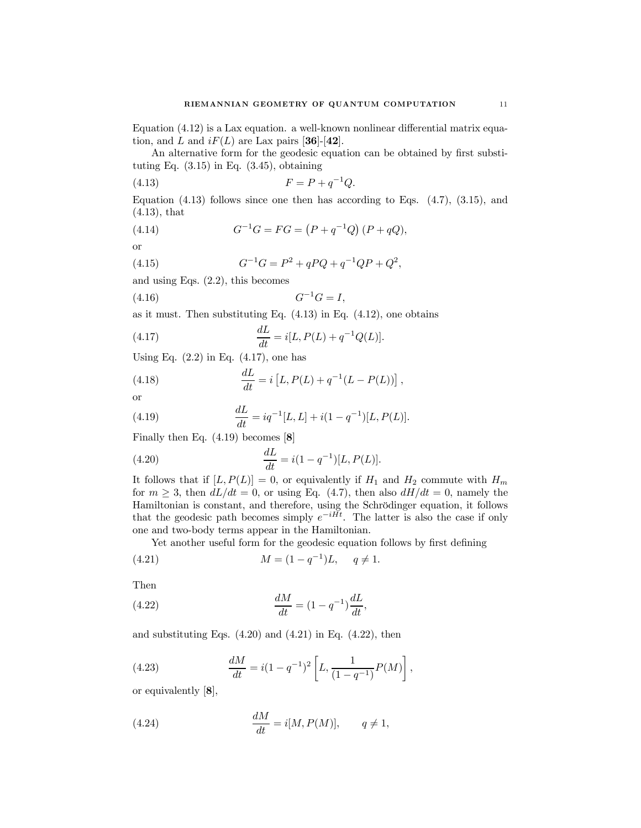Equation (4.12) is a Lax equation. a well-known nonlinear differential matrix equation, and L and  $iF(L)$  are Lax pairs [36]-[42].

An alternative form for the geodesic equation can be obtained by first substituting Eq.  $(3.15)$  in Eq.  $(3.45)$ , obtaining

(4.13) 
$$
F = P + q^{-1}Q.
$$

Equation  $(4.13)$  follows since one then has according to Eqs.  $(4.7)$ ,  $(3.15)$ , and (4.13), that

(4.14) 
$$
G^{-1}G = FG = (P + q^{-1}Q)(P + qQ),
$$

or

(4.15) 
$$
G^{-1}G = P^2 + qPQ + q^{-1}QP + Q^2,
$$

and using Eqs. (2.2), this becomes

$$
(4.16) \t G^{-1}G = I,
$$

as it must. Then substituting Eq.  $(4.13)$  in Eq.  $(4.12)$ , one obtains

(4.17) 
$$
\frac{dL}{dt} = i[L, P(L) + q^{-1}Q(L)].
$$

Using Eq.  $(2.2)$  in Eq.  $(4.17)$ , one has

(4.18) 
$$
\frac{dL}{dt} = i \left[ L, P(L) + q^{-1} (L - P(L)) \right],
$$

or

(4.19) 
$$
\frac{dL}{dt} = iq^{-1}[L, L] + i(1 - q^{-1})[L, P(L)].
$$

Finally then Eq. (4.19) becomes [8]

(4.20) 
$$
\frac{dL}{dt} = i(1 - q^{-1})[L, P(L)].
$$

It follows that if  $[L, P(L)] = 0$ , or equivalently if  $H_1$  and  $H_2$  commute with  $H_m$ for  $m \geq 3$ , then  $dL/dt = 0$ , or using Eq. (4.7), then also  $dH/dt = 0$ , namely the Hamiltonian is constant, and therefore, using the Schrödinger equation, it follows that the geodesic path becomes simply  $e^{-iHt}$ . The latter is also the case if only one and two-body terms appear in the Hamiltonian.

Yet another useful form for the geodesic equation follows by first defining

(4.21) 
$$
M = (1 - q^{-1})L, \quad q \neq 1.
$$

Then

(4.22) 
$$
\frac{dM}{dt} = (1 - q^{-1})\frac{dL}{dt},
$$

and substituting Eqs.  $(4.20)$  and  $(4.21)$  in Eq.  $(4.22)$ , then

(4.23) 
$$
\frac{dM}{dt} = i(1 - q^{-1})^2 \left[ L, \frac{1}{(1 - q^{-1})} P(M) \right],
$$

or equivalently [8],

(4.24) 
$$
\frac{dM}{dt} = i[M, P(M)], \qquad q \neq 1,
$$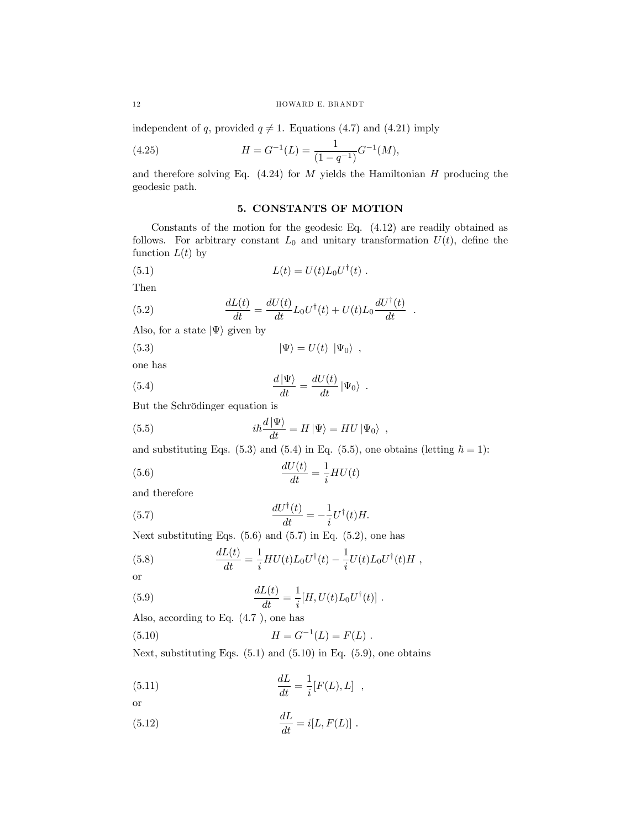independent of q, provided  $q \neq 1$ . Equations (4.7) and (4.21) imply

(4.25) 
$$
H = G^{-1}(L) = \frac{1}{(1 - q^{-1})} G^{-1}(M),
$$

and therefore solving Eq.  $(4.24)$  for M yields the Hamiltonian H producing the geodesic path.

## 5. CONSTANTS OF MOTION

Constants of the motion for the geodesic Eq. (4.12) are readily obtained as follows. For arbitrary constant  $L_0$  and unitary transformation  $U(t)$ , define the function  $L(t)$  by

(5.1) 
$$
L(t) = U(t)L_0U^{\dagger}(t) .
$$

Then

(5.2) 
$$
\frac{dL(t)}{dt} = \frac{dU(t)}{dt}L_0U^{\dagger}(t) + U(t)L_0\frac{dU^{\dagger}(t)}{dt}.
$$

Also, for a state  $|\Psi\rangle$  given by

(5.3) 
$$
|\Psi\rangle = U(t) | \Psi_0\rangle ,
$$

one has

(5.4) 
$$
\frac{d\ket{\Psi}}{dt} = \frac{dU(t)}{dt} \ket{\Psi_0}.
$$

But the Schrödinger equation is

(5.5) 
$$
i\hbar \frac{d|\Psi\rangle}{dt} = H|\Psi\rangle = HU|\Psi_0\rangle ,
$$

and substituting Eqs. (5.3) and (5.4) in Eq. (5.5), one obtains (letting  $\hbar = 1$ ):

(5.6) 
$$
\frac{dU(t)}{dt} = \frac{1}{i}HU(t)
$$

and therefore

(5.7) 
$$
\frac{dU^{\dagger}(t)}{dt} = -\frac{1}{i}U^{\dagger}(t)H.
$$

Next substituting Eqs.  $(5.6)$  and  $(5.7)$  in Eq.  $(5.2)$ , one has

(5.8) 
$$
\frac{dL(t)}{dt} = \frac{1}{i} H U(t) L_0 U^{\dagger}(t) - \frac{1}{i} U(t) L_0 U^{\dagger}(t) H,
$$

or

(5.9) 
$$
\frac{dL(t)}{dt} = \frac{1}{i}[H, U(t)L_0U^{\dagger}(t)].
$$

Also, according to Eq. (4.7 ), one has

(5.10) 
$$
H = G^{-1}(L) = F(L) .
$$

Next, substituting Eqs.  $(5.1)$  and  $(5.10)$  in Eq.  $(5.9)$ , one obtains

(5.11) 
$$
\frac{dL}{dt} = \frac{1}{i} [F(L), L] ,
$$
or

(5.12) 
$$
\frac{dL}{dt} = i[L, F(L)] \; .
$$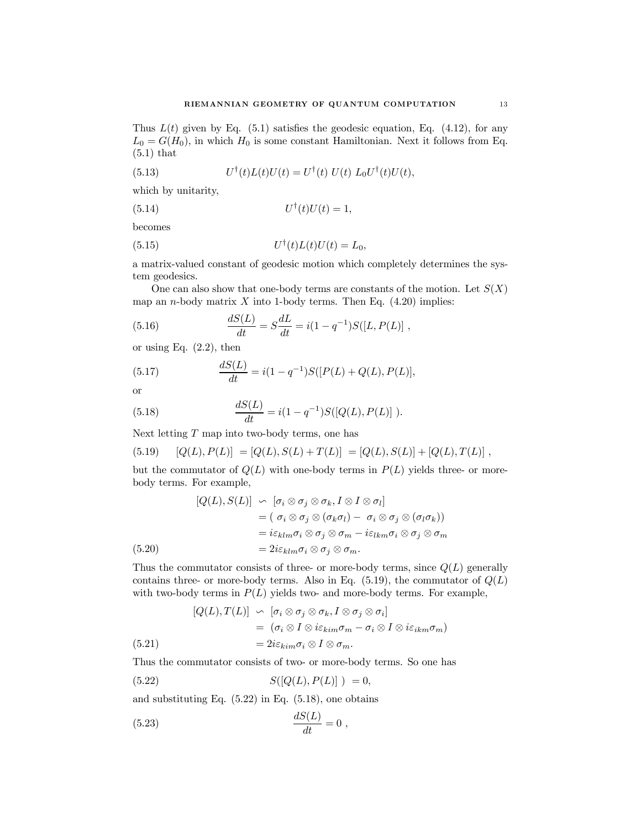Thus  $L(t)$  given by Eq. (5.1) satisfies the geodesic equation, Eq. (4.12), for any  $L_0 = G(H_0)$ , in which  $H_0$  is some constant Hamiltonian. Next it follows from Eq. (5.1) that

(5.13) 
$$
U^{\dagger}(t)L(t)U(t) = U^{\dagger}(t) U(t) L_0 U^{\dagger}(t)U(t),
$$

which by unitarity,

(5.14) U†(t)U(t)=1,

becomes

(5.15) U† (t)L(t)U(t) = L0,

a matrix-valued constant of geodesic motion which completely determines the system geodesics.

One can also show that one-body terms are constants of the motion. Let  $S(X)$ map an *n*-body matrix  $X$  into 1-body terms. Then Eq.  $(4.20)$  implies:

(5.16) 
$$
\frac{dS(L)}{dt} = S\frac{dL}{dt} = i(1 - q^{-1})S([L, P(L)],
$$

or using Eq.  $(2.2)$ , then

(5.17) 
$$
\frac{dS(L)}{dt} = i(1 - q^{-1})S([P(L) + Q(L), P(L)],
$$

or

(5.18) 
$$
\frac{dS(L)}{dt} = i(1 - q^{-1})S([Q(L), P(L)]).
$$

Next letting  $T$  map into two-body terms, one has

(5.19) 
$$
[Q(L), P(L)] = [Q(L), S(L) + T(L)] = [Q(L), S(L)] + [Q(L), T(L)],
$$

but the commutator of  $Q(L)$  with one-body terms in  $P(L)$  yields three- or morebody terms. For example,

$$
[Q(L), S(L)] \sim [\sigma_i \otimes \sigma_j \otimes \sigma_k, I \otimes I \otimes \sigma_l]
$$
  
=  $(\sigma_i \otimes \sigma_j \otimes (\sigma_k \sigma_l) - \sigma_i \otimes \sigma_j \otimes (\sigma_l \sigma_k))$   
=  $i\varepsilon_{klm}\sigma_i \otimes \sigma_j \otimes \sigma_m - i\varepsilon_{lkm}\sigma_i \otimes \sigma_j \otimes \sigma_m$   
(5.20)  
=  $2i\varepsilon_{klm}\sigma_i \otimes \sigma_j \otimes \sigma_m$ .

Thus the commutator consists of three- or more-body terms, since  $Q(L)$  generally contains three- or more-body terms. Also in Eq.  $(5.19)$ , the commutator of  $Q(L)$ with two-body terms in  $P(L)$  yields two- and more-body terms. For example,

(5.21)  
\n
$$
[Q(L), T(L)] \sim [\sigma_i \otimes \sigma_j \otimes \sigma_k, I \otimes \sigma_j \otimes \sigma_i]
$$
\n
$$
= (\sigma_i \otimes I \otimes i\varepsilon_{kim}\sigma_m - \sigma_i \otimes I \otimes i\varepsilon_{ikm}\sigma_m)
$$
\n
$$
= 2i\varepsilon_{kim}\sigma_i \otimes I \otimes \sigma_m.
$$

Thus the commutator consists of two- or more-body terms. So one has

$$
(5.22) \t S([Q(L), P(L)]) = 0,
$$

and substituting Eq.  $(5.22)$  in Eq.  $(5.18)$ , one obtains

$$
\frac{dS(L)}{dt} = 0,
$$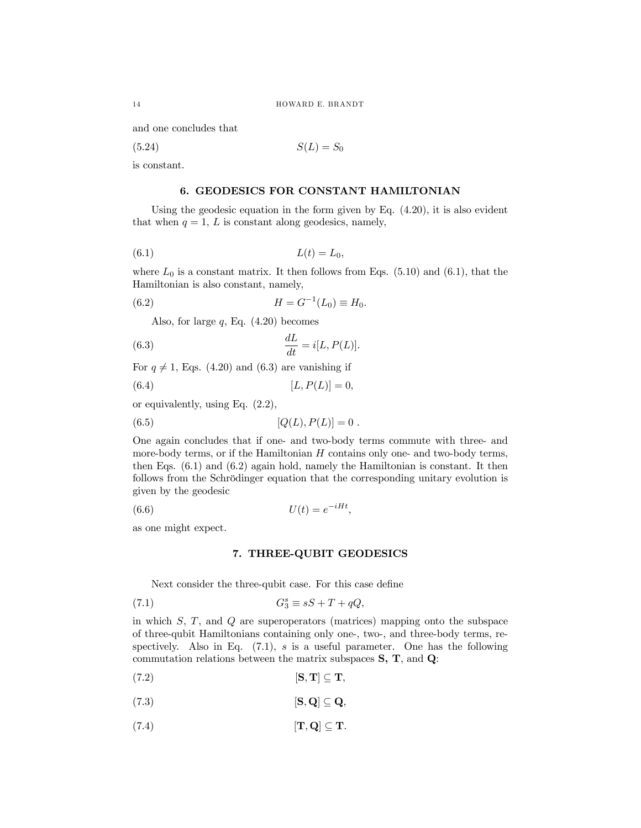and one concludes that

$$
(5.24) \t S(L) = S_0
$$

is constant.

### 6. GEODESICS FOR CONSTANT HAMILTONIAN

Using the geodesic equation in the form given by Eq. (4.20), it is also evident that when  $q = 1$ , L is constant along geodesics, namely,

$$
(6.1) \t\t L(t) = L_0,
$$

where  $L_0$  is a constant matrix. It then follows from Eqs. (5.10) and (6.1), that the Hamiltonian is also constant, namely,

(6.2) 
$$
H = G^{-1}(L_0) \equiv H_0.
$$

Also, for large  $q$ , Eq.  $(4.20)$  becomes

(6.3) 
$$
\frac{dL}{dt} = i[L, P(L)].
$$

For  $q \neq 1$ , Eqs. (4.20) and (6.3) are vanishing if

(6.4) 
$$
[L, P(L)] = 0,
$$

or equivalently, using Eq. (2.2),

(6.5) 
$$
[Q(L), P(L)] = 0.
$$

One again concludes that if one- and two-body terms commute with three- and more-body terms, or if the Hamiltonian  $H$  contains only one- and two-body terms, then Eqs. (6.1) and (6.2) again hold, namely the Hamiltonian is constant. It then follows from the Schrödinger equation that the corresponding unitary evolution is given by the geodesic

$$
(6.6) \t\t\t U(t) = e^{-iHt},
$$

as one might expect.

### 7. THREE-QUBIT GEODESICS

Next consider the three-qubit case. For this case define

(7.1) 
$$
G_3^s \equiv sS + T + qQ,
$$

in which  $S, T$ , and  $Q$  are superoperators (matrices) mapping onto the subspace of three-qubit Hamiltonians containing only one-, two-, and three-body terms, respectively. Also in Eq.  $(7.1)$ , s is a useful parameter. One has the following commutation relations between the matrix subspaces  $S, T$ , and  $Q$ :

$$
[\mathbf{S},\mathbf{T}]\subseteq \mathbf{T},\qquad \qquad [\mathbf{S},\mathbf{T}] \subseteq \mathbf{T},\qquad \qquad
$$

- (7.3)  $[\mathbf{S}, \mathbf{Q}] \subseteq \mathbf{Q},$
- (7.4)  $[\mathbf{T}, \mathbf{Q}] \subseteq \mathbf{T}.$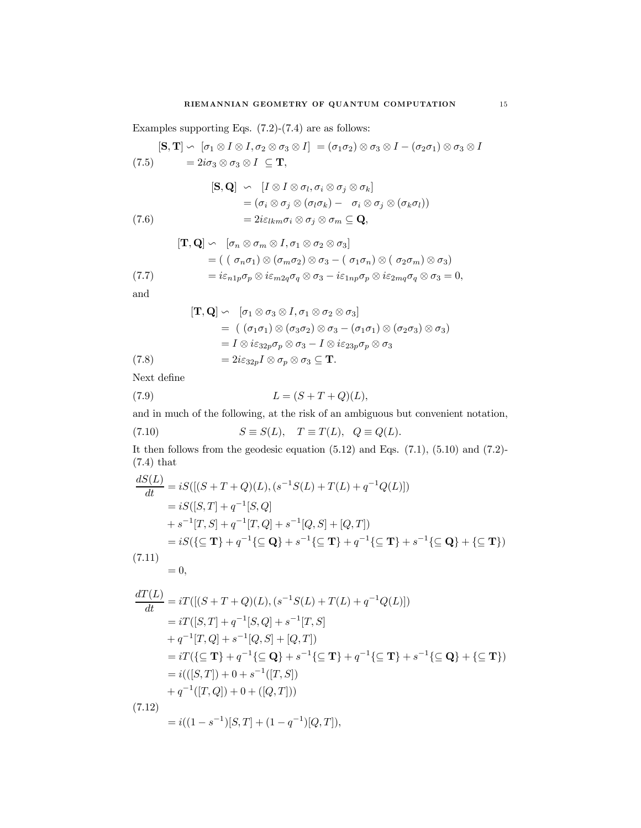Examples supporting Eqs. (7.2)-(7.4) are as follows:

$$
[\mathbf{S},\mathbf{T}]\backsim [\sigma_1\otimes I\otimes I, \sigma_2\otimes \sigma_3\otimes I] = (\sigma_1\sigma_2)\otimes \sigma_3\otimes I - (\sigma_2\sigma_1)\otimes \sigma_3\otimes I
$$

$$
(7.5) \qquad = 2i\sigma_3 \otimes \sigma_3 \otimes I \subseteq \mathbf{T},
$$

(7.6)  
\n
$$
[\mathbf{S}, \mathbf{Q}] \sim [I \otimes I \otimes \sigma_l, \sigma_i \otimes \sigma_j \otimes \sigma_k]
$$
\n
$$
= (\sigma_i \otimes \sigma_j \otimes (\sigma_l \sigma_k) - \sigma_i \otimes \sigma_j \otimes (\sigma_k \sigma_l))
$$
\n
$$
= 2i\varepsilon_{lkm}\sigma_i \otimes \sigma_j \otimes \sigma_m \subseteq \mathbf{Q},
$$

$$
[\mathbf{T}, \mathbf{Q}] \sim [\sigma_n \otimes \sigma_m \otimes I, \sigma_1 \otimes \sigma_2 \otimes \sigma_3]
$$
  
=  $( (\sigma_n \sigma_1) \otimes (\sigma_m \sigma_2) \otimes \sigma_3 - (\sigma_1 \sigma_n) \otimes (\sigma_2 \sigma_m) \otimes \sigma_3)$   
=  $i \varepsilon_{n1p} \sigma_p \otimes i \varepsilon_{m2q} \sigma_q \otimes \sigma_3 - i \varepsilon_{1np} \sigma_p \otimes i \varepsilon_{2mq} \sigma_q \otimes \sigma_3 = 0,$ 

and

$$
[\mathbf{T}, \mathbf{Q}] \sim [\sigma_1 \otimes \sigma_3 \otimes I, \sigma_1 \otimes \sigma_2 \otimes \sigma_3]
$$
  
= 
$$
((\sigma_1 \sigma_1) \otimes (\sigma_3 \sigma_2) \otimes \sigma_3 - (\sigma_1 \sigma_1) \otimes (\sigma_2 \sigma_3) \otimes \sigma_3)
$$
  
= 
$$
I \otimes i\varepsilon_{32p}\sigma_p \otimes \sigma_3 - I \otimes i\varepsilon_{23p}\sigma_p \otimes \sigma_3
$$
  
(7.8) = 
$$
2i\varepsilon_{32p}I \otimes \sigma_p \otimes \sigma_3 \subseteq \mathbf{T}.
$$

Next define

(7.9) 
$$
L = (S + T + Q)(L),
$$

and in much of the following, at the risk of an ambiguous but convenient notation,

(7.10) 
$$
S \equiv S(L), \quad T \equiv T(L), \quad Q \equiv Q(L).
$$

It then follows from the geodesic equation  $(5.12)$  and Eqs.  $(7.1)$ ,  $(5.10)$  and  $(7.2)$ -(7.4) that

$$
\frac{dS(L)}{dt} = iS([(S+T+Q)(L), (s^{-1}S(L)+T(L)+q^{-1}Q(L)])
$$
  
\n
$$
= iS([S,T]+q^{-1}[S,Q]
$$
  
\n
$$
+ s^{-1}[T,S]+q^{-1}[T,Q]+s^{-1}[Q,S]+[Q,T])
$$
  
\n
$$
= iS(\{\subseteq \mathbf{T}\} + q^{-1}\{\subseteq \mathbf{Q}\} + s^{-1}\{\subseteq \mathbf{T}\} + q^{-1}\{\subseteq \mathbf{T}\} + s^{-1}\{\subseteq \mathbf{Q}\} + \{\subseteq \mathbf{T}\})
$$
  
\n(7.11)

$$
\frac{1}{2} \left( \frac{1}{2} \right)^2
$$

 $= 0,$ 

$$
\frac{dT(L)}{dt} = iT([(S+T+Q)(L), (s^{-1}S(L)+T(L)+q^{-1}Q(L)])
$$
\n
$$
= iT([S,T]+q^{-1}[S,Q]+s^{-1}[T,S]
$$
\n
$$
+q^{-1}[T,Q]+s^{-1}[Q,S]+[Q,T])
$$
\n
$$
= iT(\{\subseteq \mathbf{T}\} + q^{-1}\{\subseteq \mathbf{Q}\} + s^{-1}\{\subseteq \mathbf{T}\} + q^{-1}\{\subseteq \mathbf{T}\} + s^{-1}\{\subseteq \mathbf{Q}\} + \{\subseteq \mathbf{T}\})
$$
\n
$$
= i(([S,T]) + 0 + s^{-1}([T,S])
$$
\n
$$
+q^{-1}([T,Q]) + 0 + ([Q,T]))
$$
\n(7.12)\n
$$
= \frac{d}{dt} \left( \frac{d}{dt} - \frac{1}{2} \sum_{i=1}^{n} \sum_{j=1}^{n} \sum_{j=1}^{n} \sum_{j=1}^{n} \sum_{j=1}^{n} \sum_{j=1}^{n} \sum_{j=1}^{n} \sum_{j=1}^{n} \sum_{j=1}^{n} \sum_{j=1}^{n} \sum_{j=1}^{n} \sum_{j=1}^{n} \sum_{j=1}^{n} \sum_{j=1}^{n} \sum_{j=1}^{n} \sum_{j=1}^{n} \sum_{j=1}^{n} \sum_{j=1}^{n} \sum_{j=1}^{n} \sum_{j=1}^{n} \sum_{j=1}^{n} \sum_{j=1}^{n} \sum_{j=1}^{n} \sum_{j=1}^{n} \sum_{j=1}^{n} \sum_{j=1}^{n} \sum_{j=1}^{n} \sum_{j=1}^{n} \sum_{j=1}^{n} \sum_{j=1}^{n} \sum_{j=1}^{n} \sum_{j=1}^{n} \sum_{j=1}^{n} \sum_{j=1}^{n} \sum_{j=1}^{n} \sum_{j=1}^{n} \sum_{j=1}^{n} \sum_{j=1}^{n} \sum_{j=1}^{n} \sum_{j=1}^{n} \sum_{j=1}^{n} \sum_{j=1}^{n} \sum_{j=1}^{n} \sum_{j=1}^{n} \sum_{j=1}^{n} \sum_{j=1}^{n} \sum_{j=1}^{n} \sum_{j=1}^{n} \
$$

$$
= i((1 - s^{-1})[S, T] + (1 - q^{-1})[Q, T]),
$$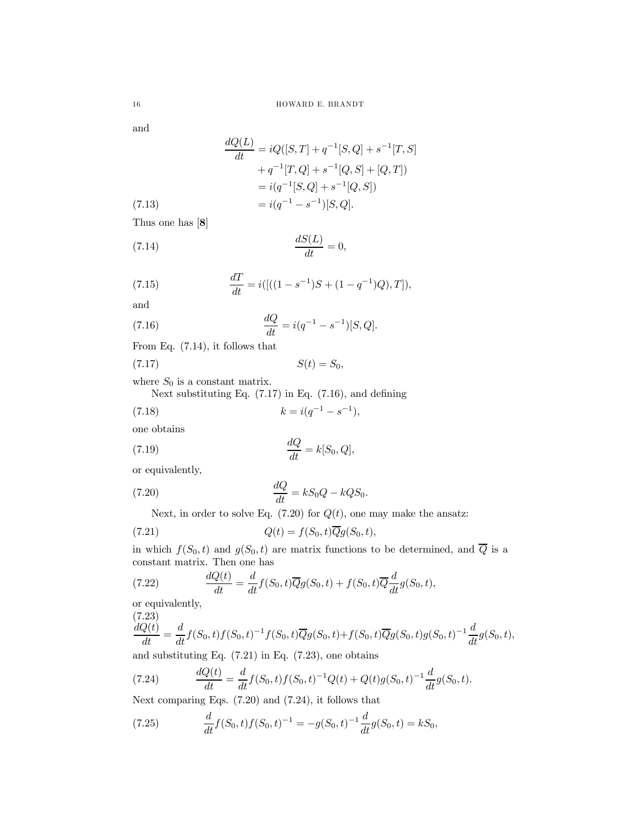and

(7.13)  
\n
$$
\frac{dQ(L)}{dt} = iQ([S,T] + q^{-1}[S,Q] + s^{-1}[T,S] + q^{-1}[T,Q] + s^{-1}[Q,S] + [Q,T])
$$
\n
$$
= i(q^{-1}[S,Q] + s^{-1}[Q,S])
$$
\n
$$
= i(q^{-1} - s^{-1})[S,Q].
$$

Thus one has [8]

$$
\frac{dS(L)}{dt} = 0,
$$

(7.15) 
$$
\frac{dT}{dt} = i([(1 - s^{-1})S + (1 - q^{-1})Q), T]),
$$

and

(7.16) 
$$
\frac{dQ}{dt} = i(q^{-1} - s^{-1})[S, Q].
$$

From Eq. (7.14), it follows that

$$
(7.17) \tS(t) = S_0,
$$

where  $S_0$  is a constant matrix.

Next substituting Eq. (7.17) in Eq. (7.16), and defining

(7.18) 
$$
k = i(q^{-1} - s^{-1}),
$$

one obtains

(7.19) 
$$
\frac{dQ}{dt} = k[S_0, Q],
$$

or equivalently,

(7.20) 
$$
\frac{dQ}{dt} = kS_0Q - kQS_0.
$$

Next, in order to solve Eq.  $(7.20)$  for  $Q(t)$ , one may make the ansatz:

(7.21) 
$$
Q(t) = f(S_0, t)\overline{Q}g(S_0, t),
$$

in which  $f(S_0, t)$  and  $g(S_0, t)$  are matrix functions to be determined, and  $\overline{Q}$  is a constant matrix. Then one has

(7.22) 
$$
\frac{dQ(t)}{dt} = \frac{d}{dt}f(S_0, t)\overline{Q}g(S_0, t) + f(S_0, t)\overline{Q}\frac{d}{dt}g(S_0, t),
$$

or equivalently,

(7.23)

$$
\frac{dQ(t)}{dt} = \frac{d}{dt}f(S_0, t)f(S_0, t)^{-1}f(S_0, t)\overline{Q}g(S_0, t) + f(S_0, t)\overline{Q}g(S_0, t)g(S_0, t)^{-1}\frac{d}{dt}g(S_0, t),
$$

and substituting Eq. (7.21) in Eq. (7.23), one obtains

(7.24) 
$$
\frac{dQ(t)}{dt} = \frac{d}{dt}f(S_0, t)f(S_0, t)^{-1}Q(t) + Q(t)g(S_0, t)^{-1}\frac{d}{dt}g(S_0, t).
$$

Next comparing Eqs. (7.20) and (7.24), it follows that

(7.25) 
$$
\frac{d}{dt}f(S_0,t)f(S_0,t)^{-1} = -g(S_0,t)^{-1}\frac{d}{dt}g(S_0,t) = kS_0,
$$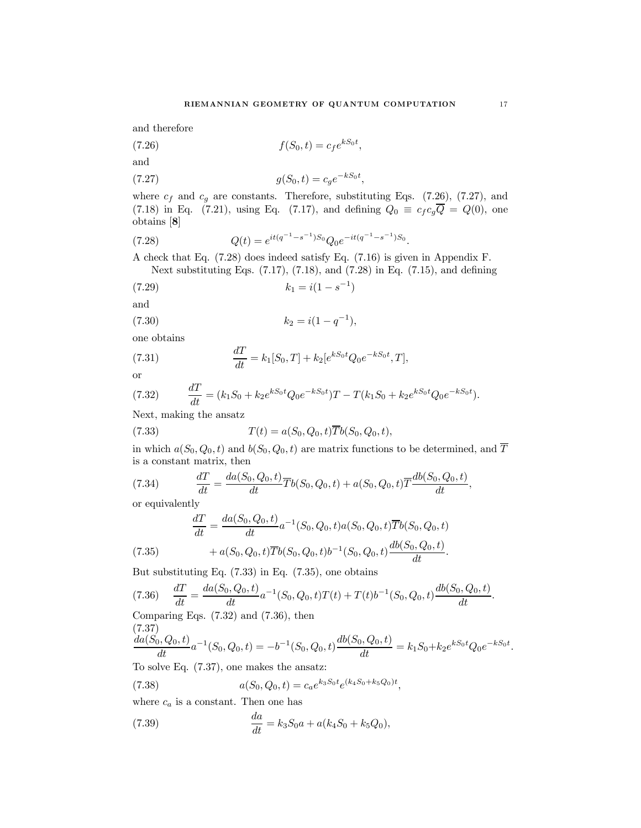and therefore

$$
(7.26)\qquad \qquad f(S_0,t) = c_f e^{kS_0t},
$$

and

(7.27) 
$$
g(S_0, t) = c_g e^{-kS_0t},
$$

where  $c_f$  and  $c_g$  are constants. Therefore, substituting Eqs. (7.26), (7.27), and (7.18) in Eq. (7.21), using Eq. (7.17), and defining  $Q_0 \equiv c_f c_g \overline{Q} = Q(0)$ , one obtains [8]

(7.28) 
$$
Q(t) = e^{it(q^{-1}-s^{-1})S_0}Q_0e^{-it(q^{-1}-s^{-1})S_0}.
$$

A check that Eq. (7.28) does indeed satisfy Eq. (7.16) is given in Appendix F. Next substituting Eqs. (7.17), (7.18), and (7.28) in Eq. (7.15), and defining

$$
(7.29) \t\t k_1 = i(1 - s^{-1})
$$

and

$$
(7.30) \t\t k_2 = i(1 - q^{-1}),
$$

one obtains

(7.31) 
$$
\frac{dT}{dt} = k_1[S_0, T] + k_2[e^{kS_0t}Q_0e^{-kS_0t}, T],
$$

or

(7.32) 
$$
\frac{dT}{dt} = (k_1 S_0 + k_2 e^{k S_0 t} Q_0 e^{-k S_0 t}) T - T(k_1 S_0 + k_2 e^{k S_0 t} Q_0 e^{-k S_0 t}).
$$

Next, making the ansatz

(7.33) 
$$
T(t) = a(S_0, Q_0, t)\overline{T}b(S_0, Q_0, t),
$$

in which  $a(S_0, Q_0, t)$  and  $b(S_0, Q_0, t)$  are matrix functions to be determined, and  $\overline{T}$ is a constant matrix, then

(7.34) 
$$
\frac{dT}{dt} = \frac{da(S_0, Q_0, t)}{dt} \overline{T}b(S_0, Q_0, t) + a(S_0, Q_0, t) \overline{T} \frac{db(S_0, Q_0, t)}{dt},
$$

or equivalently

(7.35) 
$$
\frac{dT}{dt} = \frac{da(S_0, Q_0, t)}{dt} a^{-1}(S_0, Q_0, t) a(S_0, Q_0, t) \overline{T}b(S_0, Q_0, t) + a(S_0, Q_0, t) \overline{T}b(S_0, Q_0, t) b^{-1}(S_0, Q_0, t) \frac{db(S_0, Q_0, t)}{dt}.
$$

But substituting Eq. (7.33) in Eq. (7.35), one obtains

$$
(7.36) \quad \frac{dT}{dt} = \frac{da(S_0, Q_0, t)}{dt} a^{-1}(S_0, Q_0, t)T(t) + T(t)b^{-1}(S_0, Q_0, t)\frac{db(S_0, Q_0, t)}{dt}.
$$

Comparing Eqs. (7.32) and (7.36), then (7.37)

$$
\frac{da(S_0, Q_0, t)}{dt}a^{-1}(S_0, Q_0, t) = -b^{-1}(S_0, Q_0, t)\frac{db(S_0, Q_0, t)}{dt} = k_1 S_0 + k_2 e^{kS_0 t} Q_0 e^{-kS_0 t}.
$$

To solve Eq. (7.37), one makes the ansatz:

(7.38) 
$$
a(S_0, Q_0, t) = c_a e^{k_3 S_0 t} e^{(k_4 S_0 + k_5 Q_0)t},
$$

where  $c_a$  is a constant. Then one has

(7.39) 
$$
\frac{da}{dt} = k_3 S_0 a + a(k_4 S_0 + k_5 Q_0),
$$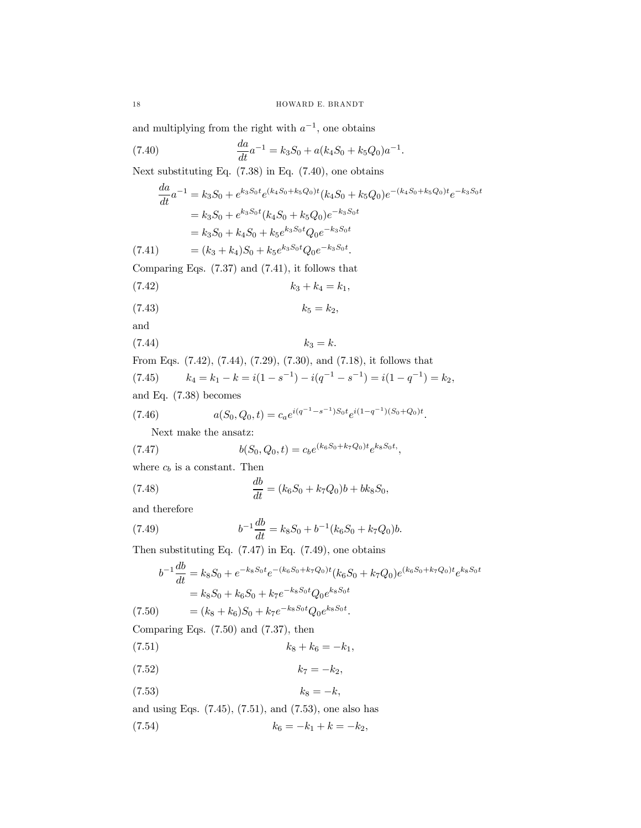and multiplying from the right with  $a^{-1}$ , one obtains

(7.40) 
$$
\frac{da}{dt}a^{-1} = k_3S_0 + a(k_4S_0 + k_5Q_0)a^{-1}.
$$

Next substituting Eq. (7.38) in Eq. (7.40), one obtains

$$
\frac{da}{dt}a^{-1} = k_3S_0 + e^{k_3S_0t}e^{(k_4S_0 + k_5Q_0)t}(k_4S_0 + k_5Q_0)e^{-(k_4S_0 + k_5Q_0)t}e^{-k_3S_0t}
$$
\n
$$
= k_3S_0 + e^{k_3S_0t}(k_4S_0 + k_5Q_0)e^{-k_3S_0t}
$$
\n
$$
= k_3S_0 + k_4S_0 + k_5e^{k_3S_0t}Q_0e^{-k_3S_0t}
$$
\n(7.41) 
$$
= (k_3 + k_4)S_0 + k_5e^{k_3S_0t}Q_0e^{-k_3S_0t}.
$$
\nComparing Eqs. (7.37) and (7.41), it follows that

$$
(7.42) \t\t k_3 + k_4 = k_1,
$$

$$
(7.43) \t\t k_5 = k_2,
$$

and

$$
(7.44) \t\t k_3 = k.
$$

From Eqs. (7.42), (7.44), (7.29), (7.30), and (7.18), it follows that (7.45)  $k_4 = k_1 - k = i(1 - s^{-1}) - i(q^{-1} - s^{-1}) = i(1 - q^{-1}) = k_2$ , and Eq. (7.38) becomes

and Eq. 
$$
(7.38)
$$
 becomes

(7.46) 
$$
a(S_0, Q_0, t) = c_a e^{i(q^{-1} - s^{-1})S_0 t} e^{i(1 - q^{-1})(S_0 + Q_0)t}.
$$

Next make the ansatz:

(7.47) 
$$
b(S_0, Q_0, t) = c_b e^{(k_6 S_0 + k_7 Q_0)t} e^{k_8 S_0 t},
$$

where  $c_b$  is a constant. Then

(7.48) 
$$
\frac{db}{dt} = (k_6S_0 + k_7Q_0)b + bk_8S_0,
$$

and therefore

(7.49) 
$$
b^{-1}\frac{db}{dt} = k_8 S_0 + b^{-1}(k_6 S_0 + k_7 Q_0)b.
$$

Then substituting Eq.  $(7.47)$  in Eq.  $(7.49)$ , one obtains

$$
b^{-1} \frac{db}{dt} = k_8 S_0 + e^{-k_8 S_0 t} e^{-(k_6 S_0 + k_7 Q_0)t} (k_6 S_0 + k_7 Q_0) e^{(k_6 S_0 + k_7 Q_0)t} e^{k_8 S_0 t}
$$
  
=  $k_8 S_0 + k_6 S_0 + k_7 e^{-k_8 S_0 t} Q_0 e^{k_8 S_0 t}$   
(7.50) =  $(k_8 + k_6) S_0 + k_7 e^{-k_8 S_0 t} Q_0 e^{k_8 S_0 t}$ .

Comparing Eqs. (7.50) and (7.37), then

(7.51)  $k_8 + k_6 = -k_1$ ,

$$
(7.52) \t\t k_7 = -k_2,
$$

$$
(7.53) \t\t k_8 = -k,
$$

and using Eqs. (7.45), (7.51), and (7.53), one also has (7.54)  $k_6 = -k_1 + k = -k_2$ ,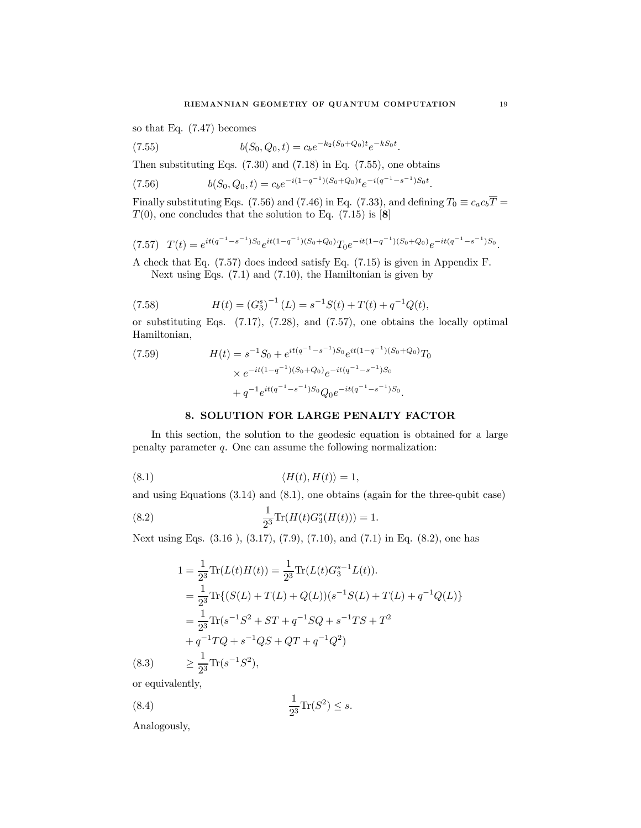so that Eq. (7.47) becomes

(7.55) 
$$
b(S_0, Q_0, t) = c_b e^{-k_2(S_0 + Q_0)t} e^{-kS_0t}.
$$

Then substituting Eqs.  $(7.30)$  and  $(7.18)$  in Eq.  $(7.55)$ , one obtains

(7.56) 
$$
b(S_0, Q_0, t) = c_b e^{-i(1-q^{-1})(S_0 + Q_0)t} e^{-i(q^{-1}-s^{-1})S_0t}.
$$

Finally substituting Eqs. (7.56) and (7.46) in Eq. (7.33), and defining  $T_0 \equiv c_a c_b \overline{T}$  =  $T(0)$ , one concludes that the solution to Eq. (7.15) is [8]

$$
(7.57) T(t) = e^{it(q^{-1}-s^{-1})S_0}e^{it(1-q^{-1})(S_0+Q_0)}T_0e^{-it(1-q^{-1})(S_0+Q_0)}e^{-it(q^{-1}-s^{-1})S_0}.
$$

A check that Eq. (7.57) does indeed satisfy Eq. (7.15) is given in Appendix F. Next using Eqs. (7.1) and (7.10), the Hamiltonian is given by

(7.58) 
$$
H(t) = (G_3^s)^{-1} (L) = s^{-1} S(t) + T(t) + q^{-1} Q(t),
$$

or substituting Eqs. (7.17), (7.28), and (7.57), one obtains the locally optimal Hamiltonian,

(7.59) 
$$
H(t) = s^{-1}S_0 + e^{it(q^{-1}-s^{-1})S_0}e^{it(1-q^{-1})(S_0+Q_0)}T_0
$$

$$
\times e^{-it(1-q^{-1})(S_0+Q_0)}e^{-it(q^{-1}-s^{-1})S_0}
$$

$$
+ q^{-1}e^{it(q^{-1}-s^{-1})S_0}Q_0e^{-it(q^{-1}-s^{-1})S_0}.
$$

#### 8. SOLUTION FOR LARGE PENALTY FACTOR

In this section, the solution to the geodesic equation is obtained for a large penalty parameter q. One can assume the following normalization:

$$
(8.1) \t\t \langle H(t), H(t) \rangle = 1,
$$

and using Equations (3.14) and (8.1), one obtains (again for the three-qubit case)

(8.2) 
$$
\frac{1}{2^3} \text{Tr}(H(t)G_3^s(H(t))) = 1.
$$

Next using Eqs. (3.16 ), (3.17), (7.9), (7.10), and (7.1) in Eq. (8.2), one has

$$
1 = \frac{1}{2^3} \text{Tr}(L(t)H(t)) = \frac{1}{2^3} \text{Tr}(L(t)G_3^{s-1}L(t)).
$$
  
\n
$$
= \frac{1}{2^3} \text{Tr}\{(S(L) + T(L) + Q(L))(s^{-1}S(L) + T(L) + q^{-1}Q(L))\}
$$
  
\n
$$
= \frac{1}{2^3} \text{Tr}(s^{-1}S^2 + ST + q^{-1}SQ + s^{-1}TS + T^2
$$
  
\n
$$
+ q^{-1}TQ + s^{-1}QS + QT + q^{-1}Q^2)
$$
  
\n(8.3) 
$$
\geq \frac{1}{2^3} \text{Tr}(s^{-1}S^2),
$$

or equivalently,

$$
\frac{1}{2^3} \text{Tr}(S^2) \le s.
$$

Analogously,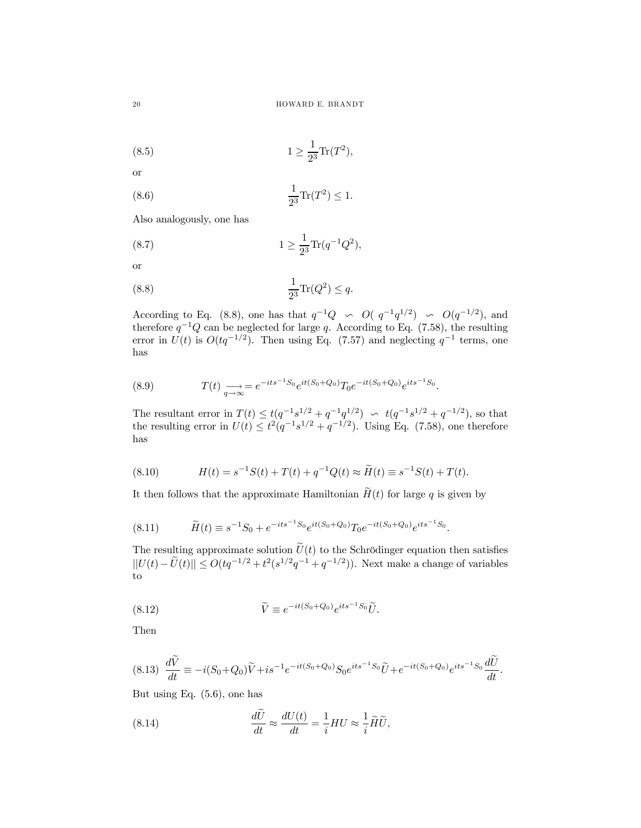(8.5) 
$$
1 \ge \frac{1}{2^3} \text{Tr}(T^2),
$$

or

(8.6) 
$$
\frac{1}{2^3} \text{Tr}(T^2) \le 1.
$$

Also analogously, one has

(8.7) 
$$
1 \ge \frac{1}{2^3} \text{Tr}(q^{-1}Q^2),
$$

or

$$
\frac{1}{2^3} \text{Tr}(Q^2) \le q.
$$

According to Eq. (8.8), one has that  $q^{-1}Q \sim O(q^{-1}q^{1/2}) \sim O(q^{-1/2})$ , and therefore  $q^{-1}Q$  can be neglected for large q. According to Eq. (7.58), the resulting error in  $U(t)$  is  $O(tq^{-1/2})$ . Then using Eq. (7.57) and neglecting  $q^{-1}$  terms, one has

(8.9) 
$$
T(t) \underset{q \to \infty}{\longrightarrow} e^{-its^{-1}S_0}e^{it(S_0+Q_0)}T_0e^{-it(S_0+Q_0)}e^{its^{-1}S_0}.
$$

The resultant error in  $T(t) \le t(q^{-1}s^{1/2} + q^{-1}q^{1/2}) \sim t(q^{-1}s^{1/2} + q^{-1/2})$ , so that the resulting error in  $U(t) \leq t^2(q^{-1}s^{1/2} + q^{-1/2})$ . Using Eq. (7.58), one therefore has

(8.10) 
$$
H(t) = s^{-1}S(t) + T(t) + q^{-1}Q(t) \approx \widetilde{H}(t) \equiv s^{-1}S(t) + T(t).
$$

It then follows that the approximate Hamiltonian  $\widetilde{H}(t)$  for large q is given by

$$
(8.11) \t\tilde{H}(t) \equiv s^{-1}S_0 + e^{-its^{-1}S_0}e^{it(S_0 + Q_0)}T_0e^{-it(S_0 + Q_0)}e^{its^{-1}S_0}.
$$

The resulting approximate solution  $\tilde{U}(t)$  to the Schrödinger equation then satisfies  $||U(t) - \tilde{U}(t)|| \le O(tq^{-1/2} + t^2(s^{1/2}q^{-1} + q^{-1/2})).$  Next make a change of variables to

(8.12) 
$$
\widetilde{V} \equiv e^{-it(S_0+Q_0)}e^{its^{-1}S_0}\widetilde{U}.
$$

Then

$$
(8.13) \frac{d\tilde{V}}{dt} \equiv -i(S_0 + Q_0)\tilde{V} + is^{-1}e^{-it(S_0 + Q_0)}S_0e^{its^{-1}S_0}\tilde{U} + e^{-it(S_0 + Q_0)}e^{its^{-1}S_0}\frac{d\tilde{U}}{dt}.
$$

But using Eq. (5.6), one has

(8.14) 
$$
\frac{d\tilde{U}}{dt} \approx \frac{dU(t)}{dt} = \frac{1}{i}HU \approx \frac{1}{i}\tilde{H}\tilde{U},
$$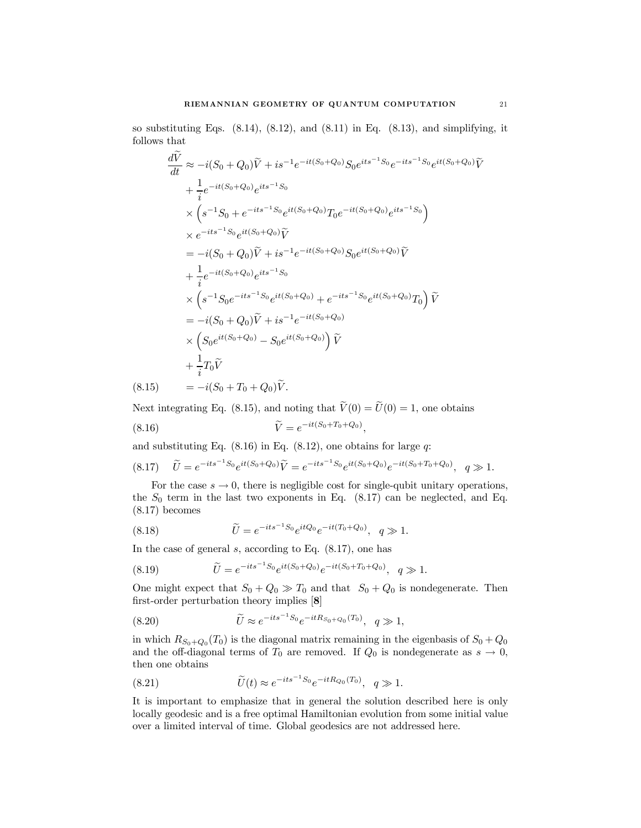so substituting Eqs.  $(8.14)$ ,  $(8.12)$ , and  $(8.11)$  in Eq.  $(8.13)$ , and simplifying, it follows that

$$
\frac{dV}{dt} \approx -i(S_0 + Q_0)\tilde{V} + is^{-1}e^{-it(S_0 + Q_0)}S_0e^{its^{-1}S_0}e^{-its^{-1}S_0}e^{it(S_0 + Q_0)}\tilde{V} \n+ \frac{1}{i}e^{-it(S_0 + Q_0)}e^{its^{-1}S_0} \n\times (s^{-1}S_0 + e^{-its^{-1}S_0}e^{it(S_0 + Q_0)}T_0e^{-it(S_0 + Q_0)}e^{its^{-1}S_0}) \n\times e^{-its^{-1}S_0}e^{it(S_0 + Q_0)}\tilde{V} \n= -i(S_0 + Q_0)\tilde{V} + is^{-1}e^{-it(S_0 + Q_0)}S_0e^{it(S_0 + Q_0)}\tilde{V} \n+ \frac{1}{i}e^{-it(S_0 + Q_0)}e^{its^{-1}S_0} \n\times (s^{-1}S_0e^{-its^{-1}S_0}e^{it(S_0 + Q_0)} + e^{-its^{-1}S_0}e^{it(S_0 + Q_0)}T_0)\tilde{V} \n= -i(S_0 + Q_0)\tilde{V} + is^{-1}e^{-it(S_0 + Q_0)} \n\times (S_0e^{it(S_0 + Q_0)} - S_0e^{it(S_0 + Q_0)})\tilde{V} \n+ \frac{1}{i}T_0\tilde{V} \n(8.15) = -i(S_0 + T_0 + Q_0)\tilde{V}.
$$

Next integrating Eq. (8.15), and noting that  $\tilde{V}(0) = \tilde{U}(0) = 1$ , one obtains

$$
\widetilde{V} = e^{-it(S_0 + T_0 + Q_0)}
$$

and substituting Eq.  $(8.16)$  in Eq.  $(8.12)$ , one obtains for large q:

$$
(8.17) \quad \tilde{U} = e^{-its^{-1}S_0}e^{it(S_0+Q_0)}\tilde{V} = e^{-its^{-1}S_0}e^{it(S_0+Q_0)}e^{-it(S_0+T_0+Q_0)}, \quad q \gg 1.
$$

,

For the case  $s \to 0$ , there is negligible cost for single-qubit unitary operations, the  $S_0$  term in the last two exponents in Eq.  $(8.17)$  can be neglected, and Eq. (8.17) becomes

(8.18) 
$$
\widetilde{U} = e^{-its^{-1}S_0}e^{itQ_0}e^{-it(T_0+Q_0)}, q \gg 1.
$$

In the case of general  $s$ , according to Eq.  $(8.17)$ , one has

(8.19) 
$$
\widetilde{U} = e^{-its^{-1}S_0}e^{it(S_0+Q_0)}e^{-it(S_0+T_0+Q_0)}, \quad q \gg 1.
$$

One might expect that  $S_0 + Q_0 \gg T_0$  and that  $S_0 + Q_0$  is nondegenerate. Then first-order perturbation theory implies [8]

(8.20) 
$$
\widetilde{U} \approx e^{-its^{-1}S_0}e^{-itR_{S_0+Q_0}(T_0)}, \quad q \gg 1,
$$

in which  $R_{S_0+Q_0}(T_0)$  is the diagonal matrix remaining in the eigenbasis of  $S_0+Q_0$ and the off-diagonal terms of  $T_0$  are removed. If  $Q_0$  is nondegenerate as  $s \to 0$ , then one obtains

(8.21) 
$$
\widetilde{U}(t) \approx e^{-its^{-1}S_0}e^{-itR_{Q_0}(T_0)}, \quad q \gg 1.
$$

It is important to emphasize that in general the solution described here is only locally geodesic and is a free optimal Hamiltonian evolution from some initial value over a limited interval of time. Global geodesics are not addressed here.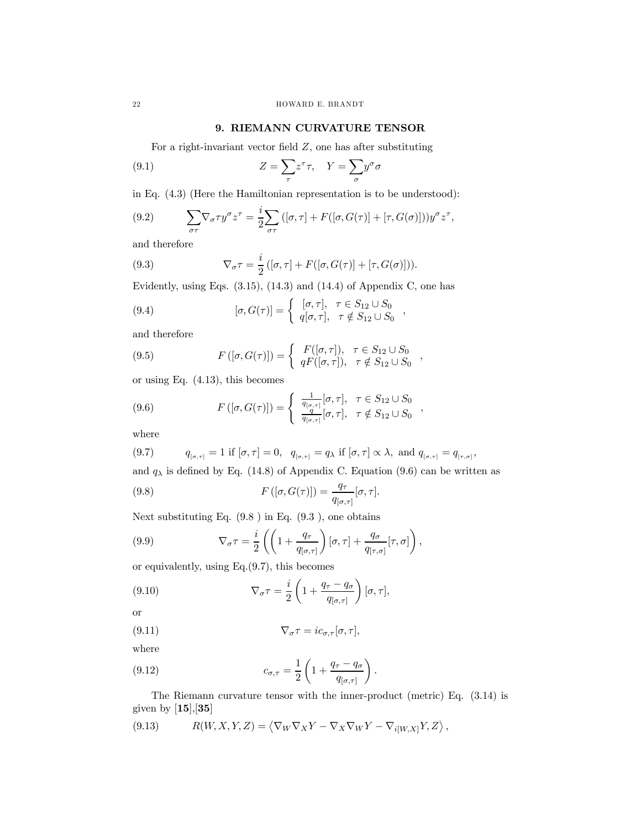# 9. RIEMANN CURVATURE TENSOR

For a right-invariant vector field  $Z$ , one has after substituting

(9.1) 
$$
Z = \sum_{\tau} z^{\tau} \tau, \quad Y = \sum_{\sigma} y^{\sigma} \sigma
$$

in Eq. (4.3) (Here the Hamiltonian representation is to be understood):

(9.2) 
$$
\sum_{\sigma\tau} \nabla_{\sigma}\tau y^{\sigma} z^{\tau} = \frac{i}{2} \sum_{\sigma\tau} ([\sigma, \tau] + F([\sigma, G(\tau)] + [\tau, G(\sigma)])) y^{\sigma} z^{\tau},
$$

and therefore

(9.3) 
$$
\nabla_{\sigma}\tau = \frac{i}{2} ([\sigma, \tau] + F([\sigma, G(\tau)] + [\tau, G(\sigma)])).
$$

Evidently, using Eqs.  $(3.15)$ ,  $(14.3)$  and  $(14.4)$  of Appendix C, one has

(9.4) 
$$
[\sigma, G(\tau)] = \begin{cases} [\sigma, \tau], & \tau \in S_{12} \cup S_0 \\ q[\sigma, \tau], & \tau \notin S_{12} \cup S_0 \end{cases},
$$

and therefore

(9.5) 
$$
F([\sigma, G(\tau)]) = \begin{cases} F([\sigma, \tau]), & \tau \in S_{12} \cup S_0 \\ qF([\sigma, \tau]), & \tau \notin S_{12} \cup S_0 \end{cases},
$$

or using Eq. (4.13), this becomes

(9.6) 
$$
F([\sigma, G(\tau)]) = \begin{cases} \frac{1}{q_{[\sigma, \tau]}} [\sigma, \tau], & \tau \in S_{12} \cup S_0 \\ \frac{q}{q_{[\sigma, \tau]}} [\sigma, \tau], & \tau \notin S_{12} \cup S_0 \end{cases}
$$

where

(9.7) 
$$
q_{[\sigma,\tau]} = 1
$$
 if  $[\sigma,\tau] = 0$ ,  $q_{[\sigma,\tau]} = q_{\lambda}$  if  $[\sigma,\tau] \propto \lambda$ , and  $q_{[\sigma,\tau]} = q_{[\tau,\sigma]}$ ,

and  $q_{\lambda}$  is defined by Eq. (14.8) of Appendix C. Equation (9.6) can be written as

,

(9.8) 
$$
F([\sigma, G(\tau)]) = \frac{q_{\tau}}{q_{[\sigma, \tau]}} [\sigma, \tau].
$$

Next substituting Eq. (9.8 ) in Eq. (9.3 ), one obtains

(9.9) 
$$
\nabla_{\sigma}\tau = \frac{i}{2}\left(\left(1 + \frac{q_{\tau}}{q_{[\sigma,\tau]}}\right)[\sigma,\tau] + \frac{q_{\sigma}}{q_{[\tau,\sigma]}}[\tau,\sigma]\right)
$$

or equivalently, using Eq.(9.7), this becomes

(9.10) 
$$
\nabla_{\sigma}\tau = \frac{i}{2}\left(1 + \frac{q_{\tau} - q_{\sigma}}{q_{[\sigma,\tau]}}\right)[\sigma,\tau],
$$

or

(9.11) 
$$
\nabla_{\sigma}\tau = ic_{\sigma,\tau}[\sigma,\tau],
$$

where

(9.12) 
$$
c_{\sigma,\tau} = \frac{1}{2} \left( 1 + \frac{q_{\tau} - q_{\sigma}}{q_{[\sigma,\tau]}} \right).
$$

The Riemann curvature tensor with the inner-product (metric) Eq. (3.14) is given by  $[15], [35]$ 

(9.13) 
$$
R(W, X, Y, Z) = \langle \nabla_W \nabla_X Y - \nabla_X \nabla_W Y - \nabla_{i[W,X]} Y, Z \rangle,
$$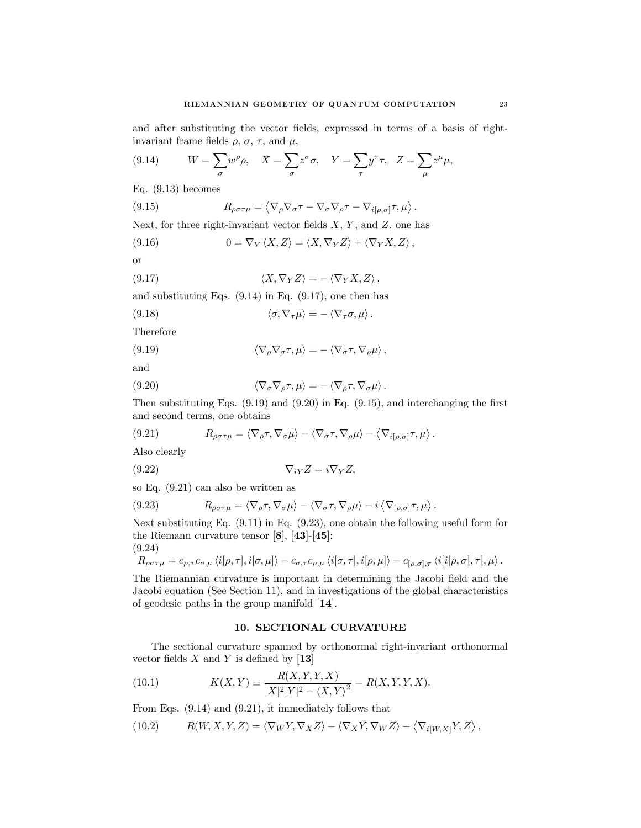and after substituting the vector fields, expressed in terms of a basis of rightinvariant frame fields  $\rho$ ,  $\sigma$ ,  $\tau$ , and  $\mu$ ,

(9.14) 
$$
W = \sum_{\sigma} w^{\rho} \rho, \quad X = \sum_{\sigma} z^{\sigma} \sigma, \quad Y = \sum_{\tau} y^{\tau} \tau, \quad Z = \sum_{\mu} z^{\mu} \mu,
$$

Eq. (9.13) becomes

(9.15) 
$$
R_{\rho\sigma\tau\mu} = \langle \nabla_{\rho} \nabla_{\sigma} \tau - \nabla_{\sigma} \nabla_{\rho} \tau - \nabla_{i[\rho,\sigma]} \tau, \mu \rangle.
$$

Next, for three right-invariant vector fields  $X, Y$ , and  $Z$ , one has

(9.16) 
$$
0 = \nabla_Y \langle X, Z \rangle = \langle X, \nabla_Y Z \rangle + \langle \nabla_Y X, Z \rangle,
$$

or

(9.17) 
$$
\langle X, \nabla_Y Z \rangle = - \langle \nabla_Y X, Z \rangle,
$$

and substituting Eqs.  $(9.14)$  in Eq.  $(9.17)$ , one then has

(9.18) 
$$
\langle \sigma, \nabla_{\tau} \mu \rangle = - \langle \nabla_{\tau} \sigma, \mu \rangle.
$$

Therefore

(9.19) 
$$
\langle \nabla_{\rho} \nabla_{\sigma} \tau, \mu \rangle = - \langle \nabla_{\sigma} \tau, \nabla_{\rho} \mu \rangle,
$$

and

(9.20) 
$$
\langle \nabla_{\sigma} \nabla_{\rho} \tau, \mu \rangle = - \langle \nabla_{\rho} \tau, \nabla_{\sigma} \mu \rangle.
$$

Then substituting Eqs.  $(9.19)$  and  $(9.20)$  in Eq.  $(9.15)$ , and interchanging the first and second terms, one obtains

(9.21) 
$$
R_{\rho\sigma\tau\mu} = \langle \nabla_{\rho}\tau, \nabla_{\sigma}\mu \rangle - \langle \nabla_{\sigma}\tau, \nabla_{\rho}\mu \rangle - \langle \nabla_{i[\rho,\sigma]}\tau, \mu \rangle.
$$

Also clearly

$$
\nabla_{iY}Z = i\nabla_YZ,
$$

so Eq. (9.21) can also be written as

(9.23) 
$$
R_{\rho\sigma\tau\mu} = \langle \nabla_{\rho}\tau, \nabla_{\sigma}\mu \rangle - \langle \nabla_{\sigma}\tau, \nabla_{\rho}\mu \rangle - i \langle \nabla_{[\rho,\sigma]}\tau, \mu \rangle
$$

Next substituting Eq. (9.11) in Eq. (9.23), one obtain the following useful form for the Riemann curvature tensor [8], [43]-[45]:

.

(9.24)

$$
R_{\rho\sigma\tau\mu} = c_{\rho,\tau}c_{\sigma,\mu} \langle i[\rho,\tau],i[\sigma,\mu]\rangle - c_{\sigma,\tau}c_{\rho,\mu} \langle i[\sigma,\tau],i[\rho,\mu]\rangle - c_{[\rho,\sigma],\tau} \langle i[i[\rho,\sigma],\tau],\mu\rangle.
$$

The Riemannian curvature is important in determining the Jacobi field and the Jacobi equation (See Section 11), and in investigations of the global characteristics of geodesic paths in the group manifold [14].

## 10. SECTIONAL CURVATURE

The sectional curvature spanned by orthonormal right-invariant orthonormal vector fields  $X$  and  $Y$  is defined by [13]

(10.1) 
$$
K(X,Y) \equiv \frac{R(X,Y,Y,X)}{|X|^2 |Y|^2 - \langle X,Y \rangle^2} = R(X,Y,Y,X).
$$

From Eqs. (9.14) and (9.21), it immediately follows that

(10.2) 
$$
R(W, X, Y, Z) = \langle \nabla_W Y, \nabla_X Z \rangle - \langle \nabla_X Y, \nabla_W Z \rangle - \langle \nabla_{i[W,X]} Y, Z \rangle,
$$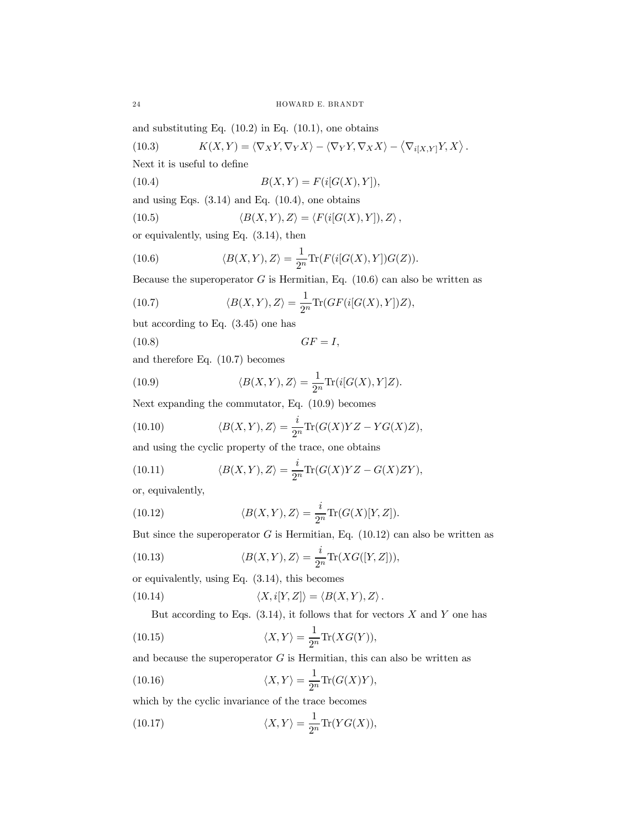and substituting Eq.  $(10.2)$  in Eq.  $(10.1)$ , one obtains

(10.3) 
$$
K(X,Y) = \langle \nabla_X Y, \nabla_Y X \rangle - \langle \nabla_Y Y, \nabla_X X \rangle - \langle \nabla_{i[X,Y]} Y, X \rangle.
$$

Next it is useful to define

(10.4) 
$$
B(X,Y) = F(i[G(X),Y]),
$$

and using Eqs.  $(3.14)$  and Eq.  $(10.4)$ , one obtains

(10.5) 
$$
\langle B(X,Y),Z\rangle = \langle F(i[G(X),Y]),Z\rangle,
$$

or equivalently, using Eq. (3.14), then

(10.6) 
$$
\langle B(X,Y),Z\rangle = \frac{1}{2^n}\text{Tr}(F(i[G(X),Y])G(Z)).
$$

Because the superoperator  $G$  is Hermitian, Eq. (10.6) can also be written as

(10.7) 
$$
\langle B(X,Y),Z\rangle = \frac{1}{2^n} \text{Tr}(GF(i[G(X),Y])Z),
$$

but according to Eq. (3.45) one has

$$
GF = I
$$

and therefore Eq. (10.7) becomes

(10.9) 
$$
\langle B(X,Y),Z\rangle = \frac{1}{2^n} \text{Tr}(i[G(X),Y]Z).
$$

Next expanding the commutator, Eq. (10.9) becomes

(10.10) 
$$
\langle B(X,Y),Z\rangle = \frac{i}{2^n}\text{Tr}(G(X)YZ-YG(X)Z),
$$

and using the cyclic property of the trace, one obtains

(10.11) 
$$
\langle B(X,Y),Z\rangle = \frac{i}{2^n}\text{Tr}(G(X)YZ - G(X)ZY),
$$

or, equivalently,

 $(10.8)$ 

(10.12) 
$$
\langle B(X,Y),Z\rangle = \frac{i}{2^n}\text{Tr}(G(X)[Y,Z]).
$$

But since the superoperator  $G$  is Hermitian, Eq. (10.12) can also be written as

(10.13) 
$$
\langle B(X,Y),Z\rangle = \frac{i}{2^n}\text{Tr}(XG([Y,Z])),
$$

or equivalently, using Eq. (3.14), this becomes

(10.14) 
$$
\langle X, i[Y, Z] \rangle = \langle B(X, Y), Z \rangle.
$$

But according to Eqs.  $(3.14)$ , it follows that for vectors X and Y one has

(10.15) 
$$
\langle X, Y \rangle = \frac{1}{2^n} \text{Tr}(XG(Y)),
$$

and because the superoperator  $G$  is Hermitian, this can also be written as

(10.16) 
$$
\langle X, Y \rangle = \frac{1}{2^n} \text{Tr}(G(X)Y),
$$

which by the cyclic invariance of the trace becomes

(10.17) 
$$
\langle X, Y \rangle = \frac{1}{2^n} \text{Tr}(YG(X)),
$$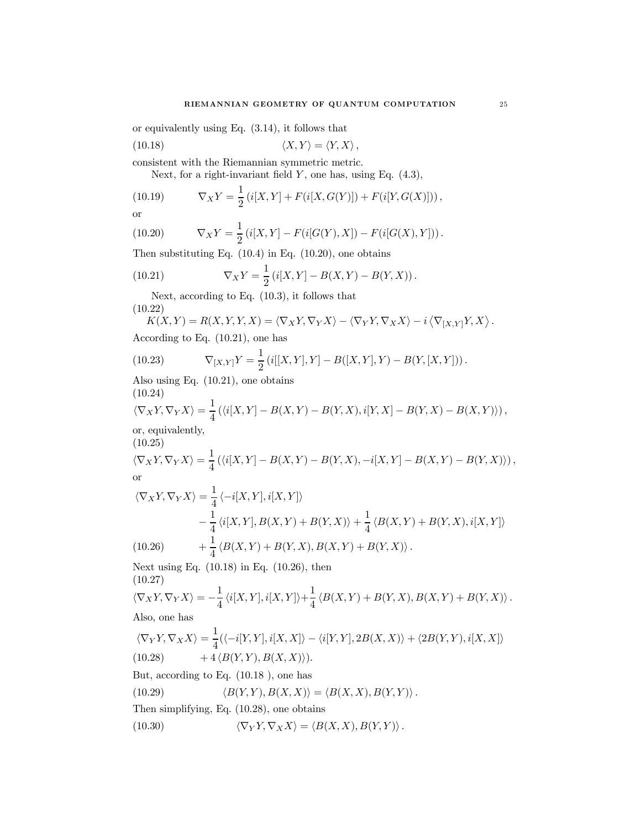or equivalently using Eq. (3.14), it follows that

(10.18) 
$$
\langle X, Y \rangle = \langle Y, X \rangle,
$$

consistent with the Riemannian symmetric metric.

Next, for a right-invariant field  $Y$ , one has, using Eq.  $(4.3)$ ,

(10.19) 
$$
\nabla_X Y = \frac{1}{2} (i[X, Y] + F(i[X, G(Y)]) + F(i[Y, G(X)])),
$$

or

(10.20) 
$$
\nabla_X Y = \frac{1}{2} (i[X, Y] - F(i[G(Y), X]) - F(i[G(X), Y])) .
$$

Then substituting Eq.  $(10.4)$  in Eq.  $(10.20)$ , one obtains

(10.21) 
$$
\nabla_X Y = \frac{1}{2} (i[X, Y] - B(X, Y) - B(Y, X)).
$$

Next, according to Eq. (10.3), it follows that (10.22)

$$
K(X,Y) = R(X,Y,Y,X) = \langle \nabla_X Y, \nabla_Y X \rangle - \langle \nabla_Y Y, \nabla_X X \rangle - i \langle \nabla_{[X,Y]} Y, X \rangle.
$$

According to Eq. (10.21), one has

(10.23) 
$$
\nabla_{[X,Y]}Y = \frac{1}{2} \left( i[[X,Y],Y] - B([X,Y],Y) - B(Y,[X,Y]) \right).
$$

Also using Eq. (10.21), one obtains (10.24)

$$
\langle \nabla_X Y, \nabla_Y X \rangle = \frac{1}{4} \left( \langle i[X, Y] - B(X, Y) - B(Y, X), i[Y, X] - B(Y, X) - B(X, Y) \rangle \right),
$$

or, equivalently, (10.25)

$$
\langle \nabla_X Y, \nabla_Y X \rangle = \frac{1}{4} \left( \langle i[X, Y] - B(X, Y) - B(Y, X), -i[X, Y] - B(X, Y) - B(Y, X) \rangle \right),
$$
 or

$$
\langle \nabla_X Y, \nabla_Y X \rangle = \frac{1}{4} \langle -i[X, Y], i[X, Y] \rangle
$$
  
\n
$$
-\frac{1}{4} \langle i[X, Y], B(X, Y) + B(Y, X) \rangle + \frac{1}{4} \langle B(X, Y) + B(Y, X), i[X, Y] \rangle
$$
  
\n(10.26) 
$$
+\frac{1}{4} \langle B(X, Y) + B(Y, X), B(X, Y) + B(Y, X) \rangle.
$$

Next using Eq. (10.18) in Eq. (10.26), then

(10.27)

$$
\langle \nabla_X Y, \nabla_Y X \rangle = -\frac{1}{4} \langle i[X, Y], i[X, Y] \rangle + \frac{1}{4} \langle B(X, Y) + B(Y, X), B(X, Y) + B(Y, X) \rangle.
$$
  
Also, one has

 $\overline{1}$ 

Also, one has

$$
\langle \nabla_Y Y, \nabla_X X \rangle = \frac{1}{4} (\langle -i[Y, Y], i[X, X] \rangle - \langle i[Y, Y], 2B(X, X) \rangle + \langle 2B(Y, Y), i[X, X] \rangle
$$
  
(10.28) + 4  $\langle B(Y, Y), B(X, X) \rangle$ ).

But, according to Eq. (10.18 ), one has

(10.29) 
$$
\langle B(Y,Y), B(X,X) \rangle = \langle B(X,X), B(Y,Y) \rangle.
$$

Then simplifying, Eq. (10.28), one obtains

(10.30) 
$$
\langle \nabla_Y Y, \nabla_X X \rangle = \langle B(X, X), B(Y, Y) \rangle.
$$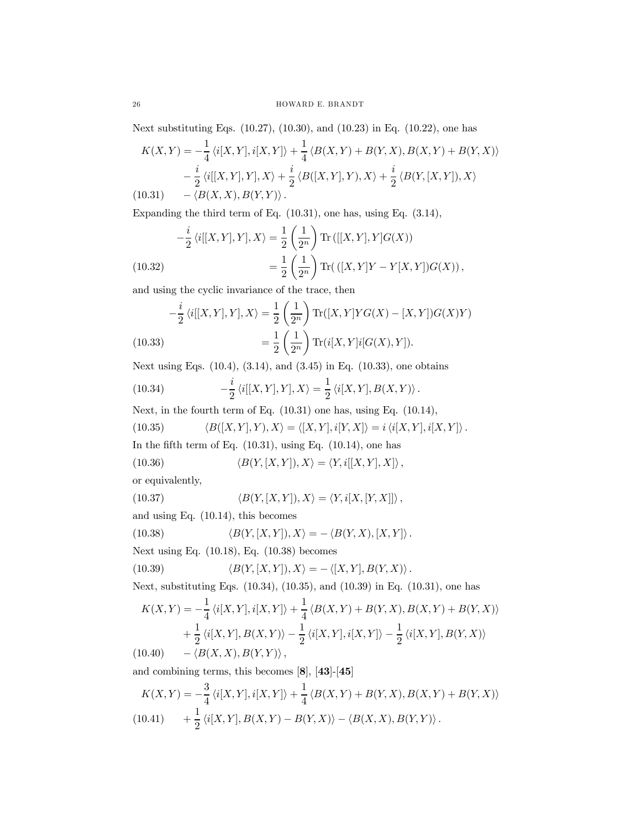Next substituting Eqs. (10.27), (10.30), and (10.23) in Eq. (10.22), one has

$$
K(X,Y) = -\frac{1}{4} \langle i[X,Y], i[X,Y] \rangle + \frac{1}{4} \langle B(X,Y) + B(Y,X), B(X,Y) + B(Y,X) \rangle
$$
  

$$
-\frac{i}{2} \langle i[[X,Y],Y],X \rangle + \frac{i}{2} \langle B([X,Y],Y),X \rangle + \frac{i}{2} \langle B(Y,[X,Y]),X \rangle
$$
  
(10.31) 
$$
-\langle B(X,X), B(Y,Y) \rangle.
$$

Expanding the third term of Eq. (10.31), one has, using Eq. (3.14),

$$
-\frac{i}{2} \langle i[[X,Y],Y],X \rangle = \frac{1}{2} \left(\frac{1}{2^n}\right) \text{Tr}\left([[X,Y],Y]G(X)\right)
$$
  
(10.32)  

$$
= \frac{1}{2} \left(\frac{1}{2^n}\right) \text{Tr}\left(([X,Y]Y-Y[X,Y])G(X)\right),
$$

and using the cyclic invariance of the trace, then

$$
-\frac{i}{2} \langle i[[X,Y],Y],X \rangle = \frac{1}{2} \left(\frac{1}{2^n}\right) \text{Tr}([X,Y] Y G(X) - [X,Y]) G(X) Y)
$$
  
(10.33)  

$$
= \frac{1}{2} \left(\frac{1}{2^n}\right) \text{Tr}(i[X,Y] i[G(X),Y]).
$$

Next using Eqs. (10.4), (3.14), and (3.45) in Eq. (10.33), one obtains

(10.34) 
$$
-\frac{i}{2} \langle i[[X, Y], Y], X \rangle = \frac{1}{2} \langle i[X, Y], B(X, Y) \rangle.
$$

Next, in the fourth term of Eq. (10.31) one has, using Eq. (10.14),

(10.35)  $\langle B([X, Y], Y), X \rangle = \langle [X, Y], i[Y, X] \rangle = i \langle i[X, Y], i[X, Y] \rangle.$ In the fifth term of Eq.  $(10.31)$ , using Eq.  $(10.14)$ , one has

(10.36) 
$$
\langle B(Y, [X, Y]), X \rangle = \langle Y, i[[X, Y], X] \rangle
$$
,

or equivalently,

(10.37) 
$$
\langle B(Y,[X,Y]),X\rangle = \langle Y,i[X,[Y,X]]\rangle,
$$
 and using Eq. (10.14), this becomes

(10.38) 
$$
\langle B(Y,[X,Y]),X\rangle = -\langle B(Y,X),[X,Y]\rangle.
$$

Next using Eq. (10.18), Eq. (10.38) becomes

(10.39) 
$$
\langle B(Y,[X,Y]),X\rangle = -\langle [X,Y],B(Y,X)\rangle.
$$

Next, substituting Eqs. (10.34), (10.35), and (10.39) in Eq. (10.31), one has

$$
K(X,Y) = -\frac{1}{4} \langle i[X,Y], i[X,Y] \rangle + \frac{1}{4} \langle B(X,Y) + B(Y,X), B(X,Y) + B(Y,X) \rangle
$$
  
+ 
$$
\frac{1}{2} \langle i[X,Y], B(X,Y) \rangle - \frac{1}{2} \langle i[X,Y], i[X,Y] \rangle - \frac{1}{2} \langle i[X,Y], B(Y,X) \rangle
$$
  
(10.40) 
$$
- \langle B(X,X), B(Y,Y) \rangle,
$$

and combining terms, this becomes [8], [43]-[45]

$$
K(X,Y) = -\frac{3}{4} \langle i[X,Y], i[X,Y] \rangle + \frac{1}{4} \langle B(X,Y) + B(Y,X), B(X,Y) + B(Y,X) \rangle
$$
  
(10.41) 
$$
+ \frac{1}{2} \langle i[X,Y], B(X,Y) - B(Y,X) \rangle - \langle B(X,X), B(Y,Y) \rangle.
$$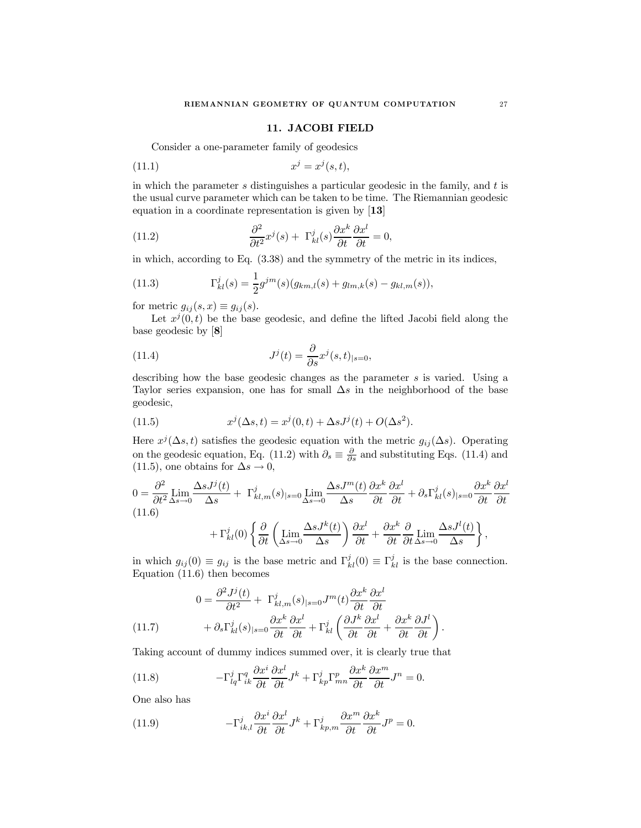### 11. JACOBI FIELD

Consider a one-parameter family of geodesics

$$
(11.1) \t\t xj = xj(s,t),
$$

in which the parameter  $s$  distinguishes a particular geodesic in the family, and  $t$  is the usual curve parameter which can be taken to be time. The Riemannian geodesic equation in a coordinate representation is given by [13]

(11.2) 
$$
\frac{\partial^2}{\partial t^2} x^j(s) + \Gamma^j_{kl}(s) \frac{\partial x^k}{\partial t} \frac{\partial x^l}{\partial t} = 0,
$$

in which, according to Eq. (3.38) and the symmetry of the metric in its indices,

(11.3) 
$$
\Gamma_{kl}^{j}(s) = \frac{1}{2}g^{jm}(s)(g_{km,l}(s) + g_{lm,k}(s) - g_{kl,m}(s)),
$$

for metric  $g_{ij}(s, x) \equiv g_{ij}(s)$ .

Let  $x^{j}(0, t)$  be the base geodesic, and define the lifted Jacobi field along the base geodesic by [8]

(11.4) 
$$
J^{j}(t) = \frac{\partial}{\partial s} x^{j}(s,t)_{|s=0},
$$

describing how the base geodesic changes as the parameter s is varied. Using a Taylor series expansion, one has for small  $\Delta s$  in the neighborhood of the base geodesic,

(11.5) 
$$
x^{j}(\Delta s, t) = x^{j}(0, t) + \Delta s J^{j}(t) + O(\Delta s^{2}).
$$

Here  $x^{j}(\Delta s,t)$  satisfies the geodesic equation with the metric  $g_{ij}(\Delta s)$ . Operating on the geodesic equation, Eq. (11.2) with  $\partial_s \equiv \frac{\partial}{\partial s}$  and substituting Eqs. (11.4) and (11.5), one obtains for  $\Delta s \to 0$ ,

$$
0 = \frac{\partial^2}{\partial t^2} \lim_{\Delta s \to 0} \frac{\Delta s J^j(t)}{\Delta s} + \Gamma^j_{kl,m}(s)_{|s=0} \lim_{\Delta s \to 0} \frac{\Delta s J^m(t)}{\Delta s} \frac{\partial x^k}{\partial t} \frac{\partial x^l}{\partial t} + \partial_s \Gamma^j_{kl}(s)_{|s=0} \frac{\partial x^k}{\partial t} \frac{\partial x^l}{\partial t}
$$
  
(11.6)  

$$
+ \Gamma^j_{kl}(0) \left\{ \frac{\partial}{\partial t} \left( \lim_{\Delta s \to 0} \frac{\Delta s J^k(t)}{\Delta s} \right) \frac{\partial x^l}{\partial t} + \frac{\partial x^k}{\partial t} \frac{\partial}{\partial t} \lim_{\Delta s \to 0} \frac{\Delta s J^l(t)}{\Delta s} \right\},
$$

in which  $g_{ij}(0) \equiv g_{ij}$  is the base metric and  $\Gamma_{kl}^{j}(0) \equiv \Gamma_{kl}^{j}$  is the base connection. Equation (11.6) then becomes

(11.7) 
$$
0 = \frac{\partial^2 J^j(t)}{\partial t^2} + \Gamma^j_{kl,m}(s)_{|s=0} J^m(t) \frac{\partial x^k}{\partial t} \frac{\partial x^l}{\partial t} + \partial_s \Gamma^j_{kl}(s)_{|s=0} \frac{\partial x^k}{\partial t} \frac{\partial x^l}{\partial t} + \Gamma^j_{kl} \left( \frac{\partial J^k}{\partial t} \frac{\partial x^l}{\partial t} + \frac{\partial x^k}{\partial t} \frac{\partial J^l}{\partial t} \right).
$$

Taking account of dummy indices summed over, it is clearly true that

(11.8) 
$$
-\Gamma_{lq}^{j}\Gamma_{ik}^{q}\frac{\partial x^{i}}{\partial t}\frac{\partial x^{l}}{\partial t}J^{k} + \Gamma_{kp}^{j}\Gamma_{mn}^{p}\frac{\partial x^{k}}{\partial t}\frac{\partial x^{m}}{\partial t}J^{n} = 0.
$$

One also has

(11.9) 
$$
-\Gamma_{ik,l}^j \frac{\partial x^i}{\partial t} \frac{\partial x^l}{\partial t} J^k + \Gamma_{kp,m}^j \frac{\partial x^m}{\partial t} \frac{\partial x^k}{\partial t} J^p = 0.
$$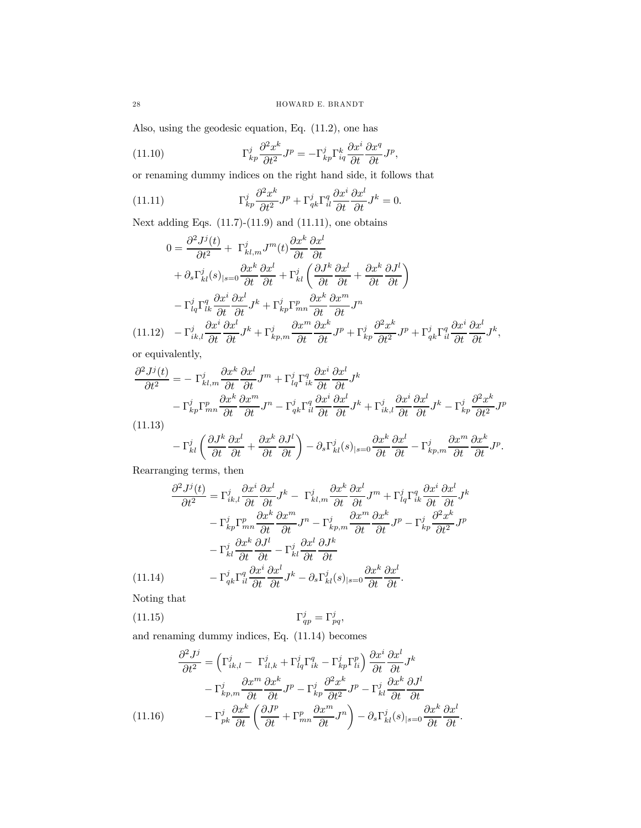Also, using the geodesic equation, Eq. (11.2), one has

(11.10) 
$$
\Gamma_{kp}^j \frac{\partial^2 x^k}{\partial t^2} J^p = -\Gamma_{kp}^j \Gamma_{iq}^k \frac{\partial x^i}{\partial t} \frac{\partial x^q}{\partial t} J^p,
$$

or renaming dummy indices on the right hand side, it follows that

(11.11) 
$$
\Gamma_{kp}^j \frac{\partial^2 x^k}{\partial t^2} J^p + \Gamma_{qk}^j \Gamma_{il}^q \frac{\partial x^i}{\partial t} \frac{\partial x^l}{\partial t} J^k = 0.
$$

Next adding Eqs.  $(11.7)-(11.9)$  and  $(11.11)$ , one obtains

$$
0 = \frac{\partial^2 J^j(t)}{\partial t^2} + \Gamma^j_{kl,m} J^m(t) \frac{\partial x^k}{\partial t} \frac{\partial x^l}{\partial t} + \partial_s \Gamma^j_{kl}(s)_{|s=0} \frac{\partial x^k}{\partial t} \frac{\partial x^l}{\partial t} + \Gamma^j_{kl} \left( \frac{\partial J^k}{\partial t} \frac{\partial x^l}{\partial t} + \frac{\partial x^k}{\partial t} \frac{\partial J^l}{\partial t} \right) - \Gamma^j_{lq} \Gamma^q_{lk} \frac{\partial x^i}{\partial t} \frac{\partial x^l}{\partial t} J^k + \Gamma^j_{kp} \Gamma^p_{mn} \frac{\partial x^k}{\partial t} \frac{\partial x^m}{\partial t} J^n (11.12) \quad - \Gamma^j_{ik,l} \frac{\partial x^i}{\partial t} \frac{\partial x^l}{\partial t} J^k + \Gamma^j_{kp,m} \frac{\partial x^m}{\partial t} \frac{\partial x^k}{\partial t} J^p + \Gamma^j_{kp} \frac{\partial^2 x^k}{\partial t^2} J^p + \Gamma^j_{qk} \Gamma^q_{ik} \frac{\partial x^i}{\partial t} \frac{\partial x^l}{\partial t} J^k,
$$

or equivalently,

$$
\frac{\partial^2 J^j(t)}{\partial t^2} = -\Gamma^j_{kl,m} \frac{\partial x^k}{\partial t} \frac{\partial x^l}{\partial t} J^m + \Gamma^j_{lq} \Gamma^q_{ik} \frac{\partial x^i}{\partial t} \frac{\partial x^l}{\partial t} J^k
$$
  

$$
- \Gamma^j_{kp} \Gamma^p_{mn} \frac{\partial x^k}{\partial t} \frac{\partial x^m}{\partial t} J^n - \Gamma^j_{qk} \Gamma^q_{il} \frac{\partial x^i}{\partial t} \frac{\partial x^l}{\partial t} J^k + \Gamma^j_{ik,l} \frac{\partial x^i}{\partial t} \frac{\partial x^l}{\partial t} J^k - \Gamma^j_{kp} \frac{\partial^2 x^k}{\partial t^2} J^p
$$
(11.13)

$$
-\Gamma^j_{kl}\left(\frac{\partial J^k}{\partial t}\frac{\partial x^l}{\partial t}+\frac{\partial x^k}{\partial t}\frac{\partial J^l}{\partial t}\right)-\partial_s\Gamma^j_{kl}(s)_{|s=0}\frac{\partial x^k}{\partial t}\frac{\partial x^l}{\partial t}-\Gamma^j_{kp,m}\frac{\partial x^m}{\partial t}\frac{\partial x^k}{\partial t}J^p.
$$

Rearranging terms, then

$$
\frac{\partial^2 J^j(t)}{\partial t^2} = \Gamma_{ik,l}^j \frac{\partial x^i}{\partial t} \frac{\partial x^l}{\partial t} J^k - \Gamma_{kl,m}^j \frac{\partial x^k}{\partial t} \frac{\partial x^l}{\partial t} J^m + \Gamma_{lq}^j \Gamma_{ik}^q \frac{\partial x^i}{\partial t} \frac{\partial x^l}{\partial t} J^k
$$

$$
- \Gamma_{kp}^j \Gamma_{mn}^p \frac{\partial x^k}{\partial t} \frac{\partial x^m}{\partial t} J^n - \Gamma_{kp,m}^j \frac{\partial x^m}{\partial t} \frac{\partial x^k}{\partial t} J^p - \Gamma_{kp}^j \frac{\partial^2 x^k}{\partial t^2} J^p
$$

$$
- \Gamma_{kl}^j \frac{\partial x^k}{\partial t} \frac{\partial J^l}{\partial t} - \Gamma_{kl}^j \frac{\partial x^l}{\partial t} \frac{\partial J^k}{\partial t}
$$

$$
(11.14) \qquad - \Gamma_{qk}^j \Gamma_{il}^q \frac{\partial x^i}{\partial t} \frac{\partial x^l}{\partial t} J^k - \partial_s \Gamma_{kl}^j(s)_{|s=0} \frac{\partial x^k}{\partial t} \frac{\partial x^l}{\partial t}.
$$

Noting that

$$
\Gamma_{qp}^j = \Gamma_{pq}^j, \qquad \Gamma_{qp}^j = \Gamma_{pq}^j,
$$

and renaming dummy indices, Eq. (11.14) becomes

$$
\frac{\partial^2 J^j}{\partial t^2} = \left(\Gamma^j_{ik,l} - \Gamma^j_{il,k} + \Gamma^j_{lq}\Gamma^q_{ik} - \Gamma^j_{kp}\Gamma^p_{li}\right)\frac{\partial x^i}{\partial t}\frac{\partial x^l}{\partial t}J^k
$$

$$
- \Gamma^j_{kp,m}\frac{\partial x^m}{\partial t}\frac{\partial x^k}{\partial t}J^p - \Gamma^j_{kp}\frac{\partial^2 x^k}{\partial t^2}J^p - \Gamma^j_{kl}\frac{\partial x^k}{\partial t}\frac{\partial J^l}{\partial t}
$$

$$
(11.16) \qquad - \Gamma^j_{pk}\frac{\partial x^k}{\partial t}\left(\frac{\partial J^p}{\partial t} + \Gamma^p_{mn}\frac{\partial x^m}{\partial t}J^n\right) - \partial_s\Gamma^j_{kl}(s)|_{s=0}\frac{\partial x^k}{\partial t}\frac{\partial x^l}{\partial t}.
$$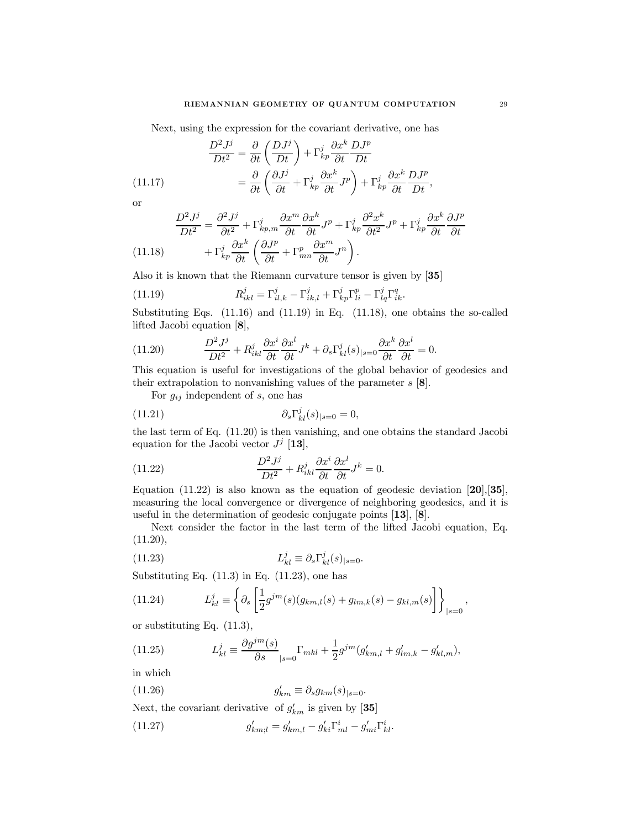Next, using the expression for the covariant derivative, one has

(11.17) 
$$
\frac{D^2 J^j}{Dt^2} = \frac{\partial}{\partial t} \left( \frac{D J^j}{Dt} \right) + \Gamma_{kp}^j \frac{\partial x^k}{\partial t} \frac{D J^p}{Dt} = \frac{\partial}{\partial t} \left( \frac{\partial J^j}{\partial t} + \Gamma_{kp}^j \frac{\partial x^k}{\partial t} J^p \right) + \Gamma_{kp}^j \frac{\partial x^k}{\partial t} \frac{D J^p}{Dt},
$$

or

$$
\frac{D^2 J^j}{Dt^2} = \frac{\partial^2 J^j}{\partial t^2} + \Gamma^j_{kp,m} \frac{\partial x^m}{\partial t} \frac{\partial x^k}{\partial t} J^p + \Gamma^j_{kp} \frac{\partial^2 x^k}{\partial t^2} J^p + \Gamma^j_{kp} \frac{\partial x^k}{\partial t} \frac{\partial J^p}{\partial t}
$$
\n(11.18) 
$$
+ \Gamma^j_{kp} \frac{\partial x^k}{\partial t} \left( \frac{\partial J^p}{\partial t} + \Gamma^p_{mn} \frac{\partial x^m}{\partial t} J^n \right).
$$

Also it is known that the Riemann curvature tensor is given by [35]

(11.19) 
$$
R_{ikl}^j = \Gamma_{il,k}^j - \Gamma_{ik,l}^j + \Gamma_{kp}^j \Gamma_{li}^p - \Gamma_{lq}^j \Gamma_{ik}^q.
$$

Substituting Eqs. (11.16) and (11.19) in Eq. (11.18), one obtains the so-called lifted Jacobi equation [8],

(11.20) 
$$
\frac{D^2 J^j}{Dt^2} + R_{ikl}^j \frac{\partial x^i}{\partial t} \frac{\partial x^l}{\partial t} J^k + \partial_s \Gamma_{kl}^j(s)_{|s=0} \frac{\partial x^k}{\partial t} \frac{\partial x^l}{\partial t} = 0.
$$

This equation is useful for investigations of the global behavior of geodesics and their extrapolation to nonvanishing values of the parameter  $s$  [8].

For  $g_{ij}$  independent of s, one has

(11.21) 
$$
\partial_s \Gamma^j_{kl}(s)_{|s=0} = 0,
$$

the last term of Eq. (11.20) is then vanishing, and one obtains the standard Jacobi equation for the Jacobi vector  $J^j$  [13],

(11.22) 
$$
\frac{D^2 J^j}{Dt^2} + R_{ikl}^j \frac{\partial x^i}{\partial t} \frac{\partial x^l}{\partial t} J^k = 0.
$$

Equation  $(11.22)$  is also known as the equation of geodesic deviation  $[20],[35]$ , measuring the local convergence or divergence of neighboring geodesics, and it is useful in the determination of geodesic conjugate points [13], [8].

Next consider the factor in the last term of the lifted Jacobi equation, Eq. (11.20),

(11.23) 
$$
L_{kl}^j \equiv \partial_s \Gamma_{kl}^j(s)_{|s=0}.
$$

Substituting Eq.  $(11.3)$  in Eq.  $(11.23)$ , one has

(11.24) 
$$
L_{kl}^{j} \equiv \left\{ \partial_s \left[ \frac{1}{2} g^{jm}(s) (g_{km,l}(s) + g_{lm,k}(s) - g_{kl,m}(s)) \right] \right\}_{|s=0},
$$

or substituting Eq. (11.3),

(11.25) 
$$
L_{kl}^j \equiv \frac{\partial g^{jm}(s)}{\partial s}|_{s=0} \Gamma_{mkl} + \frac{1}{2} g^{jm} (g'_{km,l} + g'_{lm,k} - g'_{kl,m}),
$$

in which

(11.26) 
$$
g'_{km} \equiv \partial_s g_{km}(s)_{|s=0}.
$$

Next, the covariant derivative of  $g'_{km}$  is given by [35]

(11.27) 
$$
g'_{km;l} = g'_{km,l} - g'_{ki}\Gamma^i_{ml} - g'_{mi}\Gamma^i_{kl}.
$$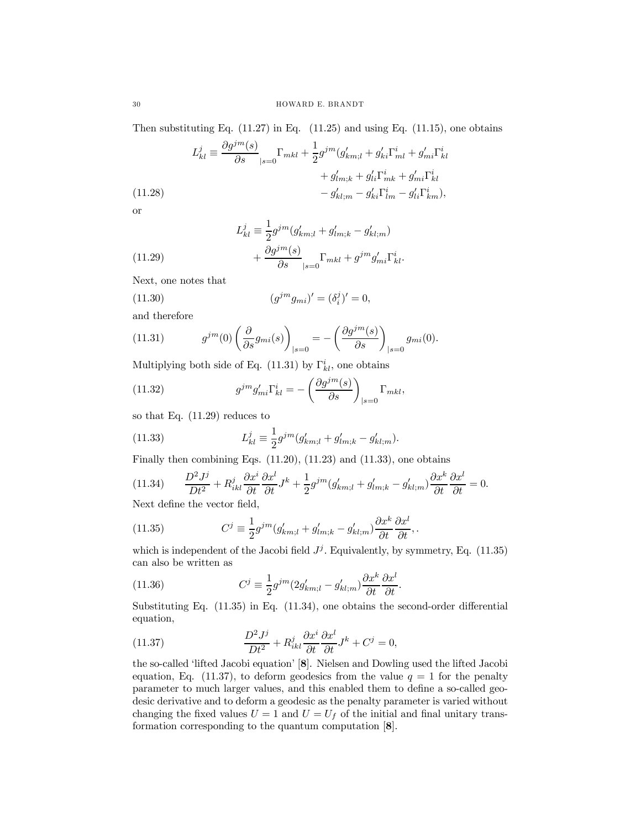Then substituting Eq.  $(11.27)$  in Eq.  $(11.25)$  and using Eq.  $(11.15)$ , one obtains

(11.28)  
\n
$$
L_{kl}^{j} \equiv \frac{\partial g^{jm}(s)}{\partial s}|_{s=0} \Gamma_{mkl} + \frac{1}{2} g^{jm} (g'_{km;l} + g'_{ki} \Gamma_{ml}^{i} + g'_{mi} \Gamma_{kl}^{i} + g'_{mi} \Gamma_{kl}^{i}) + g'_{lm;k} + g'_{li} \Gamma_{mk}^{i} + g'_{mi} \Gamma_{kl}^{i}
$$
\n
$$
- g'_{kl;m} - g'_{ki} \Gamma_{lm}^{i} - g'_{li} \Gamma_{km}^{i}),
$$

or

(11.29)  
\n
$$
L_{kl}^{j} \equiv \frac{1}{2} g^{jm} (g'_{km;l} + g'_{lm;k} - g'_{kl;m}) + \frac{\partial g^{jm}(s)}{\partial s} \Big|_{s=0} \Gamma_{mkl} + g^{jm} g'_{mi} \Gamma_{kl}^{i}.
$$

Next, one notes that

(11.30) 
$$
(g^{jm}g_{mi})' = (\delta_i^j)' = 0,
$$

and therefore

(11.31) 
$$
g^{jm}(0) \left(\frac{\partial}{\partial s}g_{mi}(s)\right)_{|s=0} = -\left(\frac{\partial g^{jm}(s)}{\partial s}\right)_{|s=0} g_{mi}(0).
$$

Multiplying both side of Eq. (11.31) by  $\Gamma_{kl}^{i}$ , one obtains

(11.32) 
$$
g^{jm}g'_{mi}\Gamma^i_{kl} = -\left(\frac{\partial g^{jm}(s)}{\partial s}\right)_{|s=0}\Gamma_{mkl},
$$

so that Eq. (11.29) reduces to

(11.33) 
$$
L_{kl}^j \equiv \frac{1}{2} g^{jm} (g'_{km;l} + g'_{lm;k} - g'_{kl;m}).
$$

Finally then combining Eqs.  $(11.20)$ ,  $(11.23)$  and  $(11.33)$ , one obtains

$$
(11.34) \qquad \frac{D^2 J^j}{Dt^2} + R^j_{ikl} \frac{\partial x^i}{\partial t} \frac{\partial x^l}{\partial t} J^k + \frac{1}{2} g^{jm} (g'_{km;l} + g'_{lm;k} - g'_{kl;m}) \frac{\partial x^k}{\partial t} \frac{\partial x^l}{\partial t} = 0.
$$

Next define the vector field,

(11.35) 
$$
C^j \equiv \frac{1}{2} g^{jm} (g'_{km;l} + g'_{lm;k} - g'_{kl;m}) \frac{\partial x^k}{\partial t} \frac{\partial x^l}{\partial t},
$$

which is independent of the Jacobi field  $J^j$ . Equivalently, by symmetry, Eq. (11.35) can also be written as

(11.36) 
$$
C^j \equiv \frac{1}{2} g^{jm} (2g'_{km;l} - g'_{kl;m}) \frac{\partial x^k}{\partial t} \frac{\partial x^l}{\partial t}.
$$

Substituting Eq. (11.35) in Eq. (11.34), one obtains the second-order differential equation,

(11.37) 
$$
\frac{D^2 J^j}{Dt^2} + R_{ikl}^j \frac{\partial x^i}{\partial t} \frac{\partial x^l}{\partial t} J^k + C^j = 0,
$$

the so-called 'lifted Jacobi equation' [8]. Nielsen and Dowling used the lifted Jacobi equation, Eq. (11.37), to deform geodesics from the value  $q = 1$  for the penalty parameter to much larger values, and this enabled them to define a so-called geodesic derivative and to deform a geodesic as the penalty parameter is varied without changing the fixed values  $U = 1$  and  $U = U_f$  of the initial and final unitary transformation corresponding to the quantum computation [8].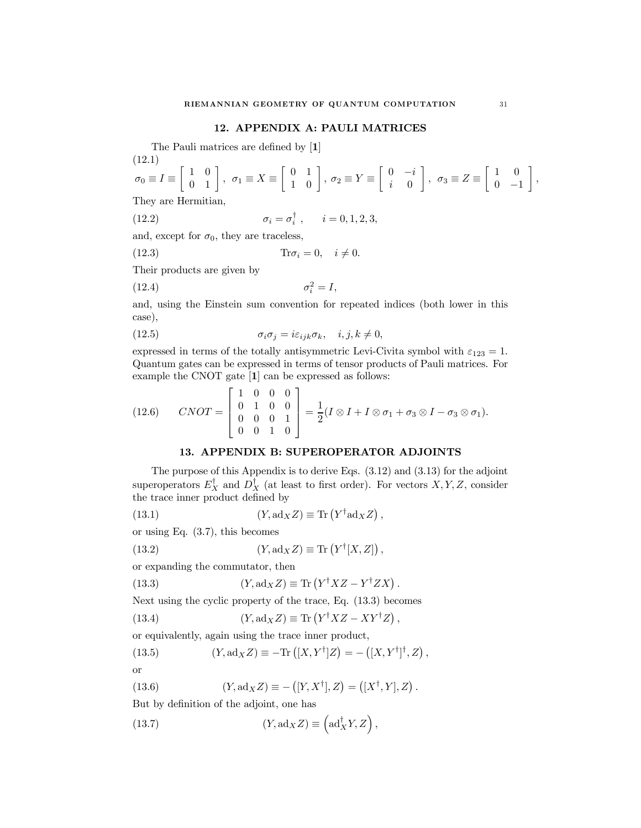### 12. APPENDIX A: PAULI MATRICES

The Pauli matrices are defined by [1]

(12.1)  
\n
$$
\sigma_0 \equiv I \equiv \begin{bmatrix} 1 & 0 \\ 0 & 1 \end{bmatrix}, \ \sigma_1 \equiv X \equiv \begin{bmatrix} 0 & 1 \\ 1 & 0 \end{bmatrix}, \ \sigma_2 \equiv Y \equiv \begin{bmatrix} 0 & -i \\ i & 0 \end{bmatrix}, \ \sigma_3 \equiv Z \equiv \begin{bmatrix} 1 & 0 \\ 0 & -1 \end{bmatrix},
$$
\nThey are Hermitian

They are Hermitian,

(12.2) 
$$
\sigma_i = \sigma_i^{\dagger}, \quad i = 0, 1, 2, 3,
$$

and, except for  $\sigma_0$ , they are traceless,

$$
(12.3) \t\t Tr \sigma_i = 0, \quad i \neq 0.
$$

Their products are given by

$$
\sigma_i^2 = I,
$$

and, using the Einstein sum convention for repeated indices (both lower in this case),

(12.5) 
$$
\sigma_i \sigma_j = i \varepsilon_{ijk} \sigma_k, \quad i, j, k \neq 0,
$$

expressed in terms of the totally antisymmetric Levi-Civita symbol with  $\varepsilon_{123} = 1$ . Quantum gates can be expressed in terms of tensor products of Pauli matrices. For example the CNOT gate [1] can be expressed as follows:

$$
(12.6) \quad \text{CNOT} = \begin{bmatrix} 1 & 0 & 0 & 0 \\ 0 & 1 & 0 & 0 \\ 0 & 0 & 0 & 1 \\ 0 & 0 & 1 & 0 \end{bmatrix} = \frac{1}{2}(I \otimes I + I \otimes \sigma_1 + \sigma_3 \otimes I - \sigma_3 \otimes \sigma_1).
$$

#### 13. APPENDIX B: SUPEROPERATOR ADJOINTS

The purpose of this Appendix is to derive Eqs. (3.12) and (3.13) for the adjoint superoperators  $E_X^{\dagger}$  and  $D_X^{\dagger}$  (at least to first order). For vectors  $X, Y, Z$ , consider the trace inner product defined by

(13.1) 
$$
(Y, \mathrm{ad}_X Z) \equiv \mathrm{Tr}\left(Y^{\dagger} \mathrm{ad}_X Z\right),
$$

or using Eq. (3.7), this becomes

(13.2) 
$$
(Y, \mathrm{ad}_X Z) \equiv \mathrm{Tr}\left(Y^{\dagger}[X, Z]\right),
$$

or expanding the commutator, then

(13.3) 
$$
(Y, \mathrm{ad}_X Z) \equiv \mathrm{Tr}\left(Y^{\dagger} X Z - Y^{\dagger} Z X\right).
$$

Next using the cyclic property of the trace, Eq. (13.3) becomes

(13.4) 
$$
(Y, \mathrm{ad}_X Z) \equiv \mathrm{Tr}\left(Y^{\dagger} X Z - XY^{\dagger} Z\right),
$$

or equivalently, again using the trace inner product,

(13.5) 
$$
(Y, \mathrm{ad}_X Z) \equiv -\mathrm{Tr}\left( [X, Y^{\dagger}] Z \right) = -\left( [X, Y^{\dagger}]^{\dagger}, Z \right),
$$

or

(13.6) 
$$
(Y, \text{ad}_X Z) \equiv -([Y, X^{\dagger}], Z) = ([X^{\dagger}, Y], Z).
$$

But by definition of the adjoint, one has

(13.7) 
$$
(Y, \mathrm{ad}_X Z) \equiv \left(\mathrm{ad}_X^{\dagger} Y, Z\right),
$$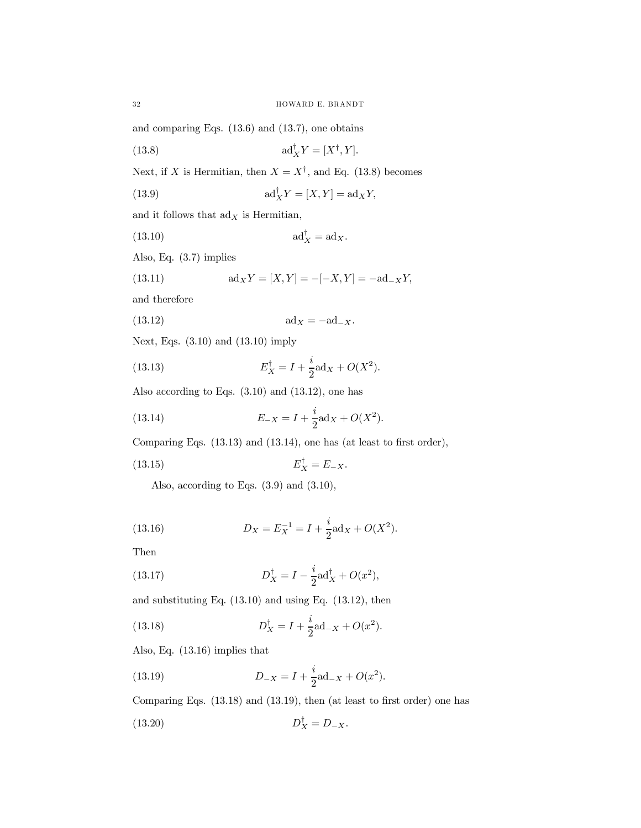and comparing Eqs. (13.6) and (13.7), one obtains

(13.8) 
$$
\mathrm{ad}_X^\dagger Y = [X^\dagger, Y].
$$

Next, if X is Hermitian, then  $X = X^{\dagger}$ , and Eq. (13.8) becomes

(13.9) 
$$
ad_X^{\dagger} Y = [X, Y] = ad_X Y,
$$

and it follows that  $\mathrm{ad}_X$  is Hermitian,

$$
(13.10) \t\t ad_X^{\dagger} = ad_X.
$$

Also, Eq. (3.7) implies

(13.11) 
$$
ad_X Y = [X, Y] = -[-X, Y] = -ad_{-X}Y,
$$

and therefore

(13.12) ad<sup>X</sup> = −ad−X.

Next, Eqs. (3.10) and (13.10) imply

(13.13) 
$$
E_X^{\dagger} = I + \frac{i}{2} \text{ad}_X + O(X^2).
$$

Also according to Eqs. (3.10) and (13.12), one has

(13.14) 
$$
E_{-X} = I + \frac{i}{2} \text{ad}_X + O(X^2).
$$

Comparing Eqs. (13.13) and (13.14), one has (at least to first order),

$$
(13.15) \t\t\t E_X^{\dagger} = E_{-X}.
$$

Also, according to Eqs. (3.9) and (3.10),

(13.16) 
$$
D_X = E_X^{-1} = I + \frac{i}{2} \text{ad}_X + O(X^2).
$$

Then

(13.17) 
$$
D_X^{\dagger} = I - \frac{i}{2} \text{ad}_X^{\dagger} + O(x^2),
$$

and substituting Eq. (13.10) and using Eq. (13.12), then

(13.18) 
$$
D_X^{\dagger} = I + \frac{i}{2} \text{ad}_{-X} + O(x^2).
$$

Also, Eq. (13.16) implies that

(13.19) 
$$
D_{-X} = I + \frac{i}{2} \text{ad}_{-X} + O(x^2).
$$

Comparing Eqs. (13.18) and (13.19), then (at least to first order) one has

$$
(13.20) \t\t D_X^{\dagger} = D_{-X}.
$$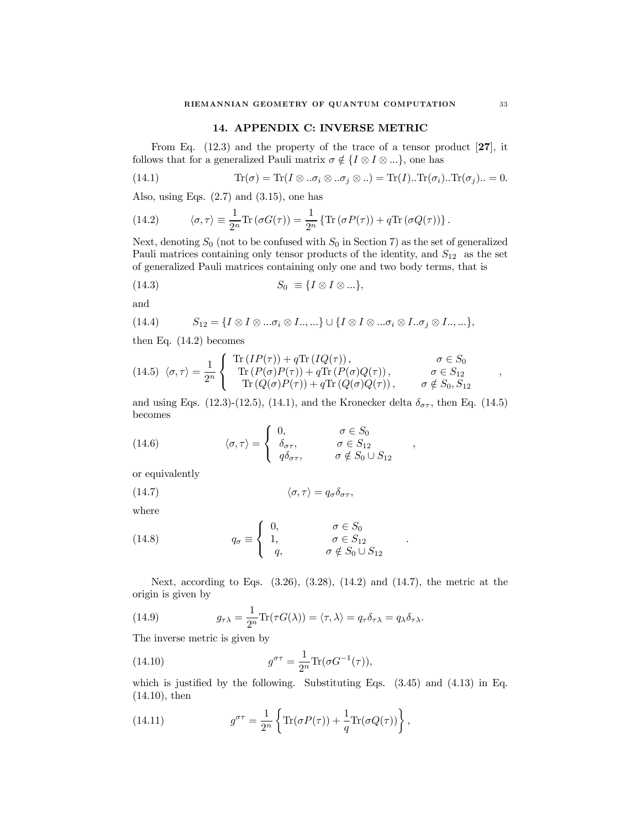#### 14. APPENDIX C: INVERSE METRIC

From Eq. (12.3) and the property of the trace of a tensor product [27], it follows that for a generalized Pauli matrix  $\sigma \notin \{I \otimes I \otimes ... \}$ , one has

(14.1) 
$$
\text{Tr}(\sigma) = \text{Tr}(I \otimes \ldots \sigma_i \otimes \ldots \sigma_j \otimes \ldots) = \text{Tr}(I) \ldots \text{Tr}(\sigma_i) \ldots \text{Tr}(\sigma_j) \ldots = 0.
$$

Also, using Eqs.  $(2.7)$  and  $(3.15)$ , one has

(14.2) 
$$
\langle \sigma, \tau \rangle \equiv \frac{1}{2^n} \text{Tr} \left( \sigma G(\tau) \right) = \frac{1}{2^n} \left\{ \text{Tr} \left( \sigma P(\tau) \right) + q \text{Tr} \left( \sigma Q(\tau) \right) \right\}.
$$

Next, denoting  $S_0$  (not to be confused with  $S_0$  in Section 7) as the set of generalized Pauli matrices containing only tensor products of the identity, and  $S_{12}$  as the set of generalized Pauli matrices containing only one and two body terms, that is

$$
(14.3) \t S_0 \equiv \{I \otimes I \otimes ... \},
$$

and

(14.4) 
$$
S_{12} = \{I \otimes I \otimes ... \sigma_i \otimes I..., ...\} \cup \{I \otimes I \otimes ... \sigma_i \otimes I...\sigma_j \otimes I..., ...\},
$$

then Eq. (14.2) becomes

(14.5) 
$$
\langle \sigma, \tau \rangle = \frac{1}{2^n} \begin{cases} \text{Tr}(IP(\tau)) + q \text{Tr}(IQ(\tau)), & \sigma \in S_0 \\ \text{Tr}(P(\sigma)P(\tau)) + q \text{Tr}(P(\sigma)Q(\tau)), & \sigma \in S_{12} \\ \text{Tr}(Q(\sigma)P(\tau)) + q \text{Tr}(Q(\sigma)Q(\tau)), & \sigma \notin S_0, S_{12} \end{cases}
$$

and using Eqs. (12.3)-(12.5), (14.1), and the Kronecker delta  $\delta_{\sigma\tau}$ , then Eq. (14.5) becomes

(14.6) 
$$
\langle \sigma, \tau \rangle = \begin{cases} 0, & \sigma \in S_0 \\ \delta_{\sigma \tau}, & \sigma \in S_{12} \\ q \delta_{\sigma \tau}, & \sigma \notin S_0 \cup S_{12} \end{cases}
$$

or equivalently

(14.7) 
$$
\langle \sigma, \tau \rangle = q_{\sigma} \delta_{\sigma \tau},
$$

where

(14.8) 
$$
q_{\sigma} \equiv \begin{cases} 0, & \sigma \in S_0 \\ 1, & \sigma \in S_{12} \\ q, & \sigma \notin S_0 \cup S_{12} \end{cases}
$$

Next, according to Eqs. (3.26), (3.28), (14.2) and (14.7), the metric at the origin is given by

(14.9) 
$$
g_{\tau\lambda} = \frac{1}{2^n} \text{Tr}(\tau G(\lambda)) = \langle \tau, \lambda \rangle = q_\tau \delta_{\tau\lambda} = q_\lambda \delta_{\tau\lambda}.
$$

The inverse metric is given by

(14.10) 
$$
g^{\sigma \tau} = \frac{1}{2^n} \text{Tr}(\sigma G^{-1}(\tau)),
$$

which is justified by the following. Substituting Eqs. (3.45) and (4.13) in Eq. (14.10), then

(14.11) 
$$
g^{\sigma\tau} = \frac{1}{2^n} \left\{ \text{Tr}(\sigma P(\tau)) + \frac{1}{q} \text{Tr}(\sigma Q(\tau)) \right\},
$$

,

,

.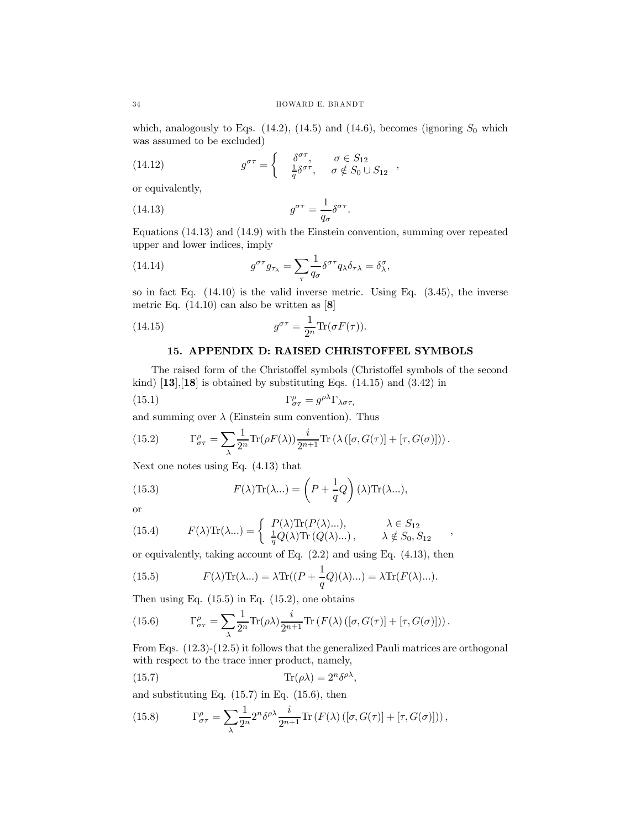which, analogously to Eqs.  $(14.2)$ ,  $(14.5)$  and  $(14.6)$ , becomes (ignoring  $S_0$  which was assumed to be excluded)

(14.12) 
$$
g^{\sigma\tau} = \begin{cases} \delta^{\sigma\tau}, & \sigma \in S_{12} \\ \frac{1}{q} \delta^{\sigma\tau}, & \sigma \notin S_0 \cup S_{12} \end{cases}
$$

or equivalently,

(14.13) 
$$
g^{\sigma \tau} = \frac{1}{q_{\sigma}} \delta^{\sigma \tau}.
$$

Equations (14.13) and (14.9) with the Einstein convention, summing over repeated upper and lower indices, imply

(14.14) 
$$
g^{\sigma\tau}g_{\tau\lambda} = \sum_{\tau} \frac{1}{q_{\sigma}} \delta^{\sigma\tau} q_{\lambda} \delta_{\tau\lambda} = \delta^{\sigma}_{\lambda},
$$

so in fact Eq. (14.10) is the valid inverse metric. Using Eq. (3.45), the inverse metric Eq.  $(14.10)$  can also be written as  $[8]$ 

(14.15) 
$$
g^{\sigma\tau} = \frac{1}{2^n} \text{Tr}(\sigma F(\tau)).
$$

## 15. APPENDIX D: RAISED CHRISTOFFEL SYMBOLS

The raised form of the Christoffel symbols (Christoffel symbols of the second kind)  $\left[13\right], \left[18\right]$  is obtained by substituting Eqs.  $\left(14.15\right)$  and  $\left(3.42\right)$  in

(15.1) 
$$
\Gamma^{\rho}_{\sigma\tau} = g^{\rho\lambda} \Gamma_{\lambda\sigma\tau},
$$

and summing over  $\lambda$  (Einstein sum convention). Thus

(15.2) 
$$
\Gamma^{\rho}_{\sigma\tau} = \sum_{\lambda} \frac{1}{2^n} \text{Tr}(\rho F(\lambda)) \frac{i}{2^{n+1}} \text{Tr}(\lambda([\sigma, G(\tau)] + [\tau, G(\sigma)])).
$$

Next one notes using Eq. (4.13) that

(15.3) 
$$
F(\lambda)\text{Tr}(\lambda...)=\left(P+\frac{1}{q}Q\right)(\lambda)\text{Tr}(\lambda...),
$$

or

(15.4) 
$$
F(\lambda)\text{Tr}(\lambda...)=\begin{cases}P(\lambda)\text{Tr}(P(\lambda)...), & \lambda \in S_{12} \\ \frac{1}{q}Q(\lambda)\text{Tr}(Q(\lambda)...), & \lambda \notin S_0, S_{12}\end{cases}
$$

or equivalently, taking account of Eq. (2.2) and using Eq. (4.13), then

(15.5) 
$$
F(\lambda)\text{Tr}(\lambda...)=\lambda\text{Tr}((P+\frac{1}{q}Q)(\lambda)...)=\lambda\text{Tr}(F(\lambda)...).
$$

Then using Eq.  $(15.5)$  in Eq.  $(15.2)$ , one obtains

(15.6) 
$$
\Gamma^{\rho}_{\sigma\tau} = \sum_{\lambda} \frac{1}{2^n} \text{Tr}(\rho \lambda) \frac{i}{2^{n+1}} \text{Tr}\left(F(\lambda) \left( [\sigma, G(\tau)] + [\tau, G(\sigma)] \right) \right).
$$

From Eqs. (12.3)-(12.5) it follows that the generalized Pauli matrices are orthogonal with respect to the trace inner product, namely,

(15.7) 
$$
\text{Tr}(\rho \lambda) = 2^n \delta^{\rho \lambda},
$$

and substituting Eq.  $(15.7)$  in Eq.  $(15.6)$ , then

(15.8) 
$$
\Gamma^{\rho}_{\sigma\tau} = \sum_{\lambda} \frac{1}{2^n} 2^n \delta^{\rho\lambda} \frac{i}{2^{n+1}} \text{Tr} \left( F(\lambda) \left( [\sigma, G(\tau)] + [\tau, G(\sigma)] \right) \right),
$$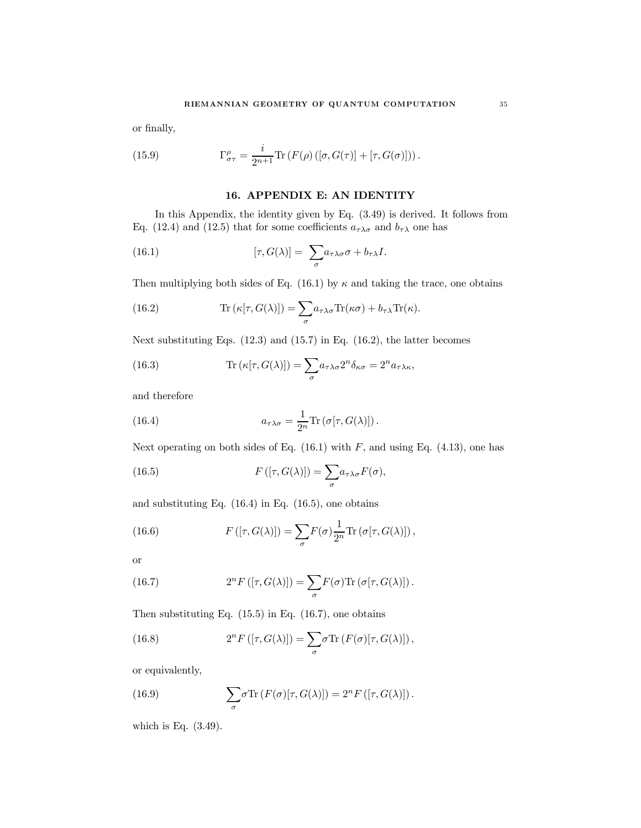or finally,

(15.9) 
$$
\Gamma^{\rho}_{\sigma\tau} = \frac{i}{2^{n+1}} \text{Tr} \left( F(\rho) \left( [\sigma, G(\tau)] + [\tau, G(\sigma)] \right) \right).
$$

## 16. APPENDIX E: AN IDENTITY

In this Appendix, the identity given by Eq. (3.49) is derived. It follows from Eq. (12.4) and (12.5) that for some coefficients  $a_{\tau\lambda\sigma}$  and  $b_{\tau\lambda}$  one has

(16.1) 
$$
[\tau, G(\lambda)] = \sum_{\sigma} a_{\tau\lambda\sigma} \sigma + b_{\tau\lambda} I.
$$

Then multiplying both sides of Eq. (16.1) by  $\kappa$  and taking the trace, one obtains

(16.2) 
$$
\text{Tr}(\kappa[\tau, G(\lambda)]) = \sum_{\sigma} a_{\tau\lambda\sigma} \text{Tr}(\kappa\sigma) + b_{\tau\lambda} \text{Tr}(\kappa).
$$

Next substituting Eqs. (12.3) and (15.7) in Eq. (16.2), the latter becomes

(16.3) 
$$
\text{Tr}(\kappa[\tau, G(\lambda)]) = \sum_{\sigma} a_{\tau\lambda\sigma} 2^n \delta_{\kappa\sigma} = 2^n a_{\tau\lambda\kappa},
$$

and therefore

(16.4) 
$$
a_{\tau\lambda\sigma} = \frac{1}{2^n} \text{Tr} \left( \sigma[\tau, G(\lambda)] \right).
$$

Next operating on both sides of Eq.  $(16.1)$  with F, and using Eq.  $(4.13)$ , one has

(16.5) 
$$
F([\tau, G(\lambda)]) = \sum_{\sigma} a_{\tau \lambda \sigma} F(\sigma),
$$

and substituting Eq.  $(16.4)$  in Eq.  $(16.5)$ , one obtains

(16.6) 
$$
F([\tau, G(\lambda)]) = \sum_{\sigma} F(\sigma) \frac{1}{2^n} \text{Tr}(\sigma[\tau, G(\lambda)]),
$$

or

(16.7) 
$$
2^{n} F\left([\tau, G(\lambda)]\right) = \sum_{\sigma} F(\sigma) \text{Tr}\left(\sigma[\tau, G(\lambda)]\right).
$$

Then substituting Eq.  $(15.5)$  in Eq.  $(16.7)$ , one obtains

(16.8) 
$$
2^{n} F\left([\tau, G(\lambda)]\right) = \sum_{\sigma} \sigma \text{Tr}\left(F(\sigma)[\tau, G(\lambda)]\right),
$$

or equivalently,

(16.9) 
$$
\sum_{\sigma} \sigma \text{Tr} \left( F(\sigma) [\tau, G(\lambda)] \right) = 2^n F \left( [\tau, G(\lambda)] \right).
$$

which is Eq. (3.49).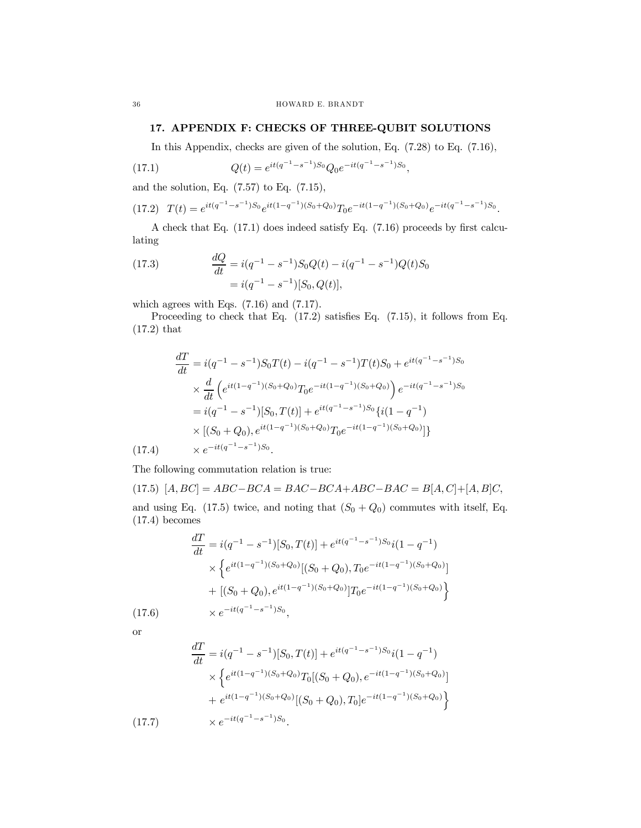## 17. APPENDIX F: CHECKS OF THREE-QUBIT SOLUTIONS

In this Appendix, checks are given of the solution, Eq. (7.28) to Eq. (7.16),

(17.1) 
$$
Q(t) = e^{it(q^{-1}-s^{-1})S_0}Q_0e^{-it(q^{-1}-s^{-1})S_0},
$$

and the solution, Eq.  $(7.57)$  to Eq.  $(7.15)$ ,

$$
(17.2) \quad T(t) = e^{it(q^{-1}-s^{-1})S_0}e^{it(1-q^{-1})(S_0+Q_0)}T_0e^{-it(1-q^{-1})(S_0+Q_0)}e^{-it(q^{-1}-s^{-1})S_0}.
$$

A check that Eq. (17.1) does indeed satisfy Eq. (7.16) proceeds by first calculating

(17.3) 
$$
\frac{dQ}{dt} = i(q^{-1} - s^{-1})S_0Q(t) - i(q^{-1} - s^{-1})Q(t)S_0
$$

$$
= i(q^{-1} - s^{-1})[S_0, Q(t)],
$$

which agrees with Eqs. (7.16) and (7.17).

Proceeding to check that Eq. (17.2) satisfies Eq. (7.15), it follows from Eq. (17.2) that

$$
\frac{dT}{dt} = i(q^{-1} - s^{-1})S_0T(t) - i(q^{-1} - s^{-1})T(t)S_0 + e^{it(q^{-1} - s^{-1})S_0}
$$
\n
$$
\times \frac{d}{dt} \left( e^{it(1-q^{-1})(S_0 + Q_0)} T_0 e^{-it(1-q^{-1})(S_0 + Q_0)} \right) e^{-it(q^{-1} - s^{-1})S_0}
$$
\n
$$
= i(q^{-1} - s^{-1})[S_0, T(t)] + e^{it(q^{-1} - s^{-1})S_0} \{i(1 - q^{-1})
$$
\n
$$
\times \left[ (S_0 + Q_0), e^{it(1-q^{-1})(S_0 + Q_0)} T_0 e^{-it(1-q^{-1})(S_0 + Q_0)} \right] \}
$$
\n(17.4)

The following commutation relation is true:

(17.5)  $[A, BC] = ABC - BCA = BAC - BCA + ABC - BAC = B[A, C] + [A, B]C,$ and using Eq. (17.5) twice, and noting that  $(S_0 + Q_0)$  commutes with itself, Eq.

(17.4) becomes

$$
\frac{dT}{dt} = i(q^{-1} - s^{-1})[S_0, T(t)] + e^{it(q^{-1} - s^{-1})S_0}i(1 - q^{-1})
$$
\n
$$
\times \left\{ e^{it(1 - q^{-1})(S_0 + Q_0)}[(S_0 + Q_0), T_0 e^{-it(1 - q^{-1})(S_0 + Q_0)}]
$$
\n
$$
+ [(S_0 + Q_0), e^{it(1 - q^{-1})(S_0 + Q_0)}]T_0 e^{-it(1 - q^{-1})(S_0 + Q_0)} \right\}
$$
\n(17.6)

or

$$
\frac{dT}{dt} = i(q^{-1} - s^{-1})[S_0, T(t)] + e^{it(q^{-1} - s^{-1})S_0}i(1 - q^{-1})
$$
\n
$$
\times \left\{ e^{it(1 - q^{-1})(S_0 + Q_0)}T_0[(S_0 + Q_0), e^{-it(1 - q^{-1})(S_0 + Q_0)}]
$$
\n
$$
+ e^{it(1 - q^{-1})(S_0 + Q_0)}[(S_0 + Q_0), T_0]e^{-it(1 - q^{-1})(S_0 + Q_0)} \right\}
$$
\n(17.7)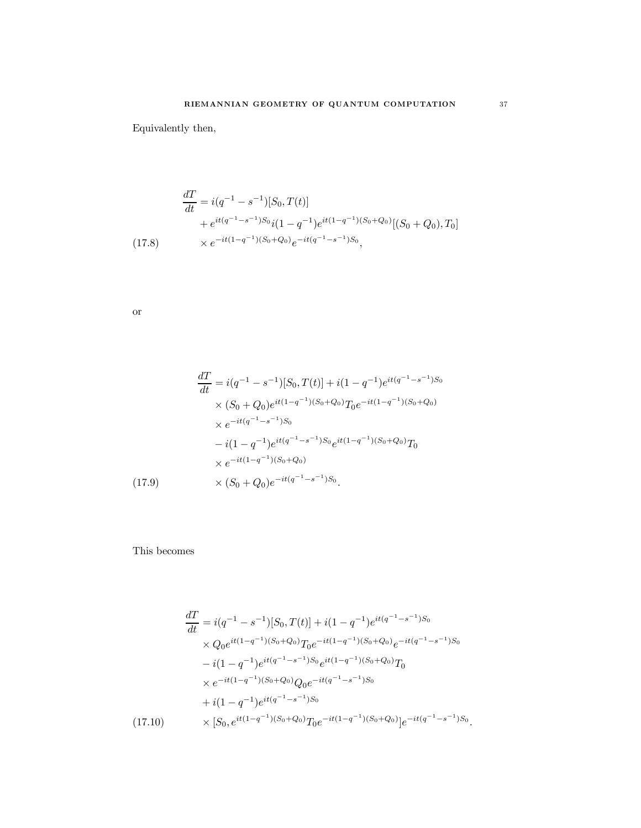Equivalently then,

$$
\frac{dT}{dt} = i(q^{-1} - s^{-1})[S_0, T(t)]
$$
  
+  $e^{it(q^{-1} - s^{-1})S_0}i(1 - q^{-1})e^{it(1 - q^{-1})(S_0 + Q_0)}[(S_0 + Q_0), T_0]$   
(17.8)  $\times e^{-it(1 - q^{-1})(S_0 + Q_0)}e^{-it(q^{-1} - s^{-1})S_0},$ 

or

$$
\frac{dT}{dt} = i(q^{-1} - s^{-1})[S_0, T(t)] + i(1 - q^{-1})e^{it(q^{-1} - s^{-1})S_0}
$$
  
\n
$$
\times (S_0 + Q_0)e^{it(1 - q^{-1})(S_0 + Q_0)}T_0e^{-it(1 - q^{-1})(S_0 + Q_0)}
$$
  
\n
$$
\times e^{-it(q^{-1} - s^{-1})S_0}
$$
  
\n
$$
-i(1 - q^{-1})e^{it(q^{-1} - s^{-1})S_0}e^{it(1 - q^{-1})(S_0 + Q_0)}T_0
$$
  
\n
$$
\times e^{-it(1 - q^{-1})(S_0 + Q_0)}
$$
  
\n(17.9) 
$$
\times (S_0 + Q_0)e^{-it(q^{-1} - s^{-1})S_0}.
$$

This becomes

$$
\frac{dT}{dt} = i(q^{-1} - s^{-1})[S_0, T(t)] + i(1 - q^{-1})e^{it(q^{-1} - s^{-1})S_0}
$$
\n
$$
\times Q_0e^{it(1 - q^{-1})(S_0 + Q_0)}T_0e^{-it(1 - q^{-1})(S_0 + Q_0)}e^{-it(q^{-1} - s^{-1})S_0}
$$
\n
$$
-i(1 - q^{-1})e^{it(q^{-1} - s^{-1})S_0}e^{it(1 - q^{-1})(S_0 + Q_0)}T_0
$$
\n
$$
\times e^{-it(1 - q^{-1})(S_0 + Q_0)}Q_0e^{-it(q^{-1} - s^{-1})S_0}
$$
\n
$$
+i(1 - q^{-1})e^{it(q^{-1} - s^{-1})S_0}
$$
\n
$$
(17.10) \qquad \times [S_0, e^{it(1 - q^{-1})(S_0 + Q_0)}T_0e^{-it(1 - q^{-1})(S_0 + Q_0)}]e^{-it(q^{-1} - s^{-1})S_0}.
$$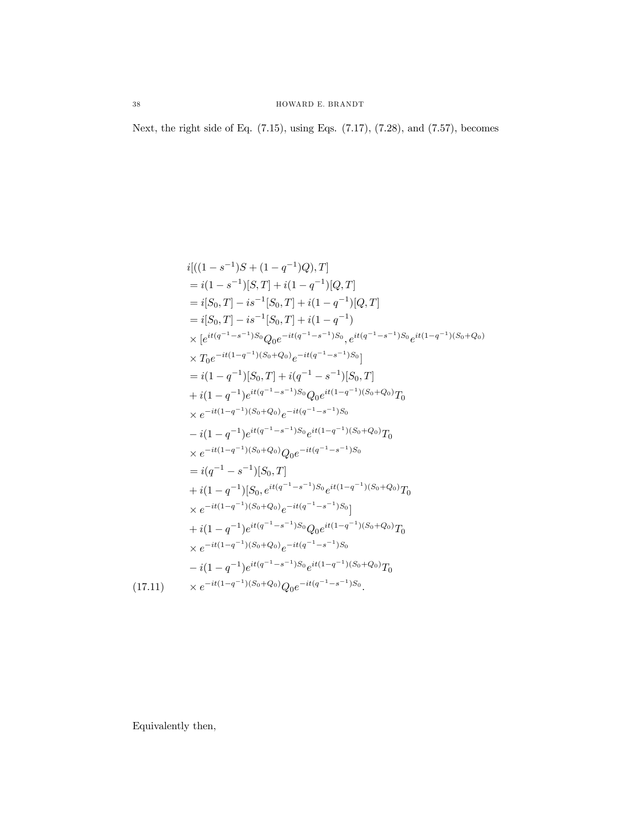Next, the right side of Eq. (7.15), using Eqs. (7.17), (7.28), and (7.57), becomes

$$
i[(1 - s^{-1})S + (1 - q^{-1})Q), T]
$$
  
\n
$$
= i(1 - s^{-1})[S, T] + i(1 - q^{-1})[Q, T]
$$
  
\n
$$
= i[S_0, T] - is^{-1}[S_0, T] + i(1 - q^{-1})[Q, T]
$$
  
\n
$$
= i[S_0, T] - is^{-1}[S_0, T] + i(1 - q^{-1})
$$
  
\n
$$
\times [e^{it(q^{-1} - s^{-1})S_0}Q_0e^{-it(q^{-1} - s^{-1})S_0}, e^{it(q^{-1} - s^{-1})S_0}e^{it(1 - q^{-1})(S_0 + Q_0)}
$$
  
\n
$$
\times T_0e^{-it(1 - q^{-1})(S_0 + Q_0)}e^{-it(q^{-1} - s^{-1})S_0}]
$$
  
\n
$$
= i(1 - q^{-1})[S_0, T] + i(q^{-1} - s^{-1})[S_0, T]
$$
  
\n
$$
+ i(1 - q^{-1})e^{it(q^{-1} - s^{-1})S_0}Q_0e^{it(1 - q^{-1})(S_0 + Q_0)}T_0
$$
  
\n
$$
\times e^{-it(1 - q^{-1})(S_0 + Q_0)}e^{-it(q^{-1} - s^{-1})S_0}
$$
  
\n
$$
- i(1 - q^{-1})e^{it(q^{-1} - s^{-1})S_0}e^{it(1 - q^{-1})(S_0 + Q_0)}T_0
$$
  
\n
$$
\times e^{-it(1 - q^{-1})(S_0 + Q_0)}Q_0e^{-it(q^{-1} - s^{-1})S_0}
$$
  
\n
$$
= i(q^{-1} - s^{-1})[S_0, T]
$$
  
\n
$$
+ i(1 - q^{-1})[S_0, e^{it(q^{-1} - s^{-1})S_0}e^{it(1 - q^{-1})(S_0 + Q_0)}T_0
$$
  
\n
$$
\times e^{-it(1 - q^{-1})(S_0 + Q_0)}e^{-it(q^{-1} - s^{-1})S_0}]
$$
  
\n
$$
+ i(1 - q^{-1})e^{it(q^{-1} - s^{-1})S_0}Q_0e^{it(1 - q^{-1})(S_0 + Q_0)}T_0
$$
  
\n
$$
\times e^{-it(1 - q^{-1})(S_
$$

Equivalently then,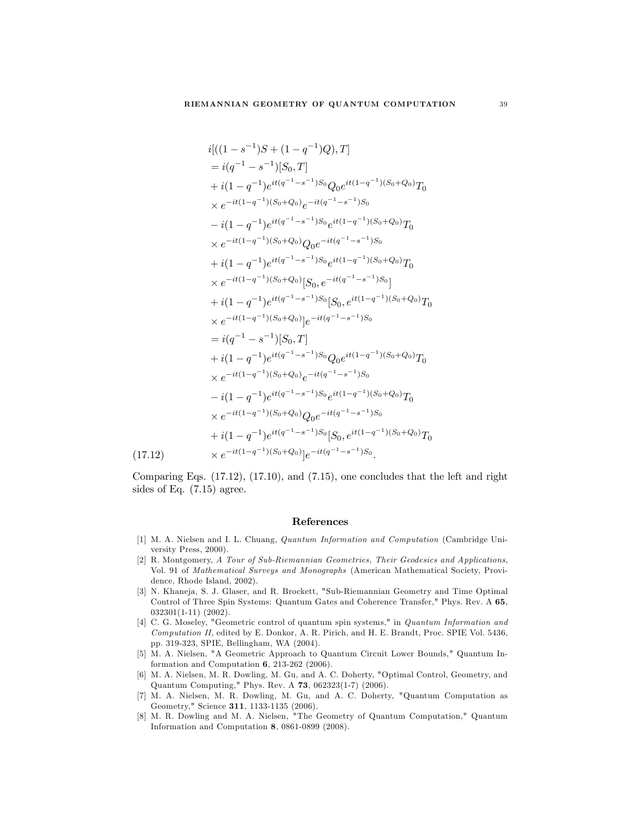$$
i[((1-s^{-1})S + (1-q^{-1})Q), T]
$$
\n
$$
= i(q^{-1} - s^{-1})[S_0, T]
$$
\n
$$
+ i(1-q^{-1})e^{it(q^{-1}-s^{-1})S_0}Q_0e^{it(1-q^{-1})(S_0+Q_0)}T_0
$$
\n
$$
\times e^{-it(1-q^{-1})(S_0+Q_0)}e^{-it(q^{-1}-s^{-1})S_0}
$$
\n
$$
- i(1-q^{-1})e^{it(q^{-1}-s^{-1})S_0}e^{it(1-q^{-1})(S_0+Q_0)}T_0
$$
\n
$$
\times e^{-it(1-q^{-1})(S_0+Q_0)}Q_0e^{-it(q^{-1}-s^{-1})S_0}
$$
\n
$$
+ i(1-q^{-1})e^{it(q^{-1}-s^{-1})S_0}e^{it(1-q^{-1})(S_0+Q_0)}T_0
$$
\n
$$
\times e^{-it(1-q^{-1})(S_0+Q_0)}[S_0, e^{-it(q^{-1}-s^{-1})S_0}]
$$
\n
$$
+ i(1-q^{-1})e^{it(q^{-1}-s^{-1})S_0}[S_0, e^{it(1-q^{-1})(S_0+Q_0)}T_0
$$
\n
$$
\times e^{-it(1-q^{-1})(S_0+Q_0)}]e^{-it(q^{-1}-s^{-1})S_0}
$$
\n
$$
= i(q^{-1}-s^{-1})[S_0, T]
$$
\n
$$
+ i(1-q^{-1})e^{it(q^{-1}-s^{-1})S_0}Q_0e^{it(1-q^{-1})(S_0+Q_0)}T_0
$$
\n
$$
\times e^{-it(1-q^{-1})(S_0+Q_0)}e^{-it(q^{-1}-s^{-1})S_0}
$$
\n
$$
- i(1-q^{-1})e^{it(q^{-1}-s^{-1})S_0}e^{it(1-q^{-1})(S_0+Q_0)}T_0
$$
\n
$$
\times e^{-it(1-q^{-1})(S_0+Q_0)}Q_0e^{-it(q^{-1}-s^{-1})S_0}
$$
\n
$$
+ i(1-q^{-1})e^{it(q^{-1}-s^{-1})S_0}[S_0, e^{it(1-q^{-1})(S_0+Q_0)}T_0
$$
\n(17.12)\n
$$
\times e^{-it(1-q^{-1})(S_0+Q_0)}]e
$$

Comparing Eqs. (17.12), (17.10), and (7.15), one concludes that the left and right sides of Eq. (7.15) agree.

#### References

- [1] M. A. Nielsen and I. L. Chuang, Quantum Information and Computation (Cambridge University Press, 2000).
- [2] R. Montgomery, A Tour of Sub-Riemannian Geometries, Their Geodesics and Applications, Vol. 91 of Mathematical Surveys and Monographs (American Mathematical Society, Providence, Rhode Island, 2002).
- [3] N. Khaneja, S. J. Glaser, and R. Brockett, "Sub-Riemannian Geometry and Time Optimal Control of Three Spin Systems: Quantum Gates and Coherence Transfer," Phys. Rev. A 65, 032301(1-11) (2002).
- [4] C. G. Moseley, "Geometric control of quantum spin systems," in Quantum Information and Computation II, edited by E. Donkor, A. R. Pirich, and H. E. Brandt, Proc. SPIE Vol. 5436, pp. 319-323, SPIE, Bellingham, WA (2004).
- [5] M. A. Nielsen, "A Geometric Approach to Quantum Circuit Lower Bounds," Quantum Information and Computation 6, 213-262 (2006).
- [6] M. A. Nielsen, M. R. Dowling, M. Gu, and A. C. Doherty, "Optimal Control, Geometry, and Quantum Computing," Phys. Rev. A 73, 062323(1-7) (2006).
- [7] M. A. Nielsen, M. R. Dowling, M. Gu, and A. C. Doherty, "Quantum Computation as Geometry," Science 311, 1133-1135 (2006).
- [8] M. R. Dowling and M. A. Nielsen, "The Geometry of Quantum Computation," Quantum Information and Computation 8, 0861-0899 (2008).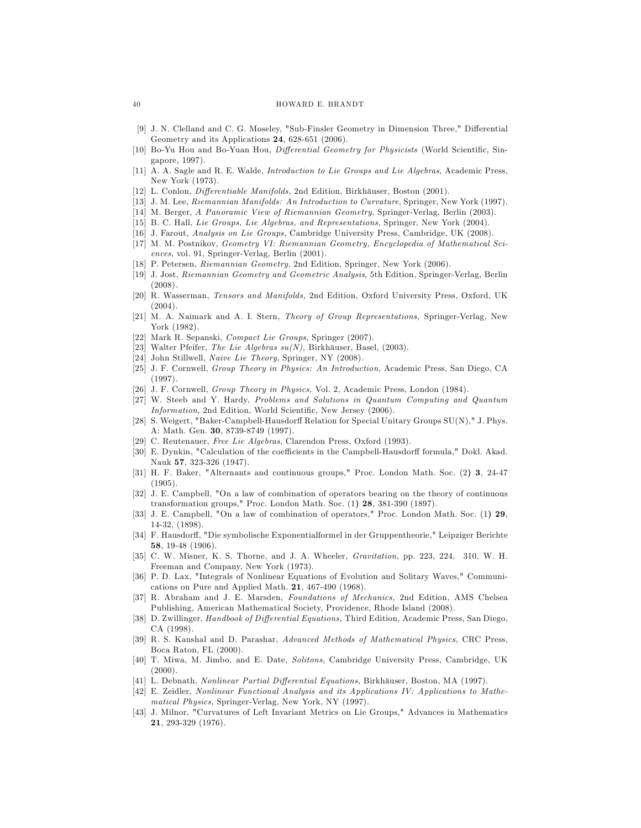#### 40 HOWARD E. BRANDT

- [9] J. N. Clelland and C. G. Moseley, "Sub-Finsler Geometry in Dimension Three," Differential Geometry and its Applications 24, 628-651 (2006).
- [10] Bo-Yu Hou and Bo-Yuan Hou, Differential Geometry for Physicists (World Scientific, Singapore, 1997).
- [11] A. A. Sagle and R. E. Walde, Introduction to Lie Groups and Lie Algebras, Academic Press, New York (1973).
- [12] L. Conlon, Differentiable Manifolds, 2nd Edition, Birkhäuser, Boston (2001).
- [13] J. M. Lee, Riemannian Manifolds: An Introduction to Curvature, Springer, New York (1997).
- [14] M. Berger, A Panoramic View of Riemannian Geometry, Springer-Verlag, Berlin (2003).
- [15] B. C. Hall, Lie Groups, Lie Algebras, and Representations, Springer, New York (2004).
- [16] J. Farout, Analysis on Lie Groups, Cambridge University Press, Cambridge, UK (2008).
- [17] M. M. Postnikov, Geometry VI: Riemannian Geometry, Encyclopedia of Mathematical Sciences, vol. 91, Springer-Verlag, Berlin (2001).
- [18] P. Petersen, Riemannian Geometry, 2nd Edition, Springer, New York (2006).
- [19] J. Jost, Riemannian Geometry and Geometric Analysis, 5th Edition, Springer-Verlag, Berlin (2008).
- [20] R. Wasserman, Tensors and Manifolds, 2nd Edition, Oxford University Press, Oxford, UK (2004).
- [21] M. A. Naimark and A. I. Stern, Theory of Group Representations, Springer-Verlag, New York (1982).
- [22] Mark R. Sepanski, Compact Lie Groups, Springer (2007).
- [23] Walter Pfeifer, *The Lie Algebras su(N)*, Birkhäuser, Basel, (2003).
- [24] John Stillwell, Naive Lie Theory, Springer, NY (2008).
- [25] J. F. Cornwell, Group Theory in Physics: An Introduction, Academic Press, San Diego, CA (1997).
- [26] J. F. Cornwell, Group Theory in Physics, Vol. 2, Academic Press, London (1984).
- [27] W. Steeb and Y. Hardy, Problems and Solutions in Quantum Computing and Quantum Information, 2nd Edition, World Scientific, New Jersey (2006).
- [28] S. Weigert, "Baker-Campbell-Hausdorff Relation for Special Unitary Groups SU(N)," J. Phys. A: Math. Gen. 30, 8739-8749 (1997).
- [29] C. Reutenauer, Free Lie Algebras, Clarendon Press, Oxford (1993).
- [30] E. Dynkin, "Calculation of the coefficients in the Campbell-Hausdorff formula," Dokl. Akad. Nauk 57, 323-326 (1947).
- [31] H. F. Baker, "Alternants and continuous groups," Proc. London Math. Soc. (2) 3, 24-47 (1905).
- [32] J. E. Campbell, "On a law of combination of operators bearing on the theory of continuous transformation groups," Proc. London Math. Soc. (1) 28, 381-390 (1897).
- [33] J. E. Campbell, "On a law of combination of operators," Proc. London Math. Soc. (1) 29, 14-32, (1898).
- [34] F. Hausdorff, "Die symbolische Exponentialformel in der Gruppentheorie," Leipziger Berichte 58, 19-48 (1906).
- [35] C. W. Misner, K. S. Thorne, and J. A. Wheeler, Gravitation, pp. 223, 224, 310, W. H. Freeman and Company, New York (1973).
- [36] P. D. Lax, "Integrals of Nonlinear Equations of Evolution and Solitary Waves," Communications on Pure and Applied Math. 21, 467-490 (1968).
- [37] R. Abraham and J. E. Marsden, Foundations of Mechanics, 2nd Edition, AMS Chelsea Publishing, American Mathematical Society, Providence, Rhode Island (2008).
- [38] D. Zwillinger, Handbook of Differential Equations, Third Edition, Academic Press, San Diego, CA (1998).
- [39] R. S. Kaushal and D. Parashar, Advanced Methods of Mathematical Physics, CRC Press, Boca Raton, FL (2000).
- [40] T. Miwa, M. Jimbo, and E. Date, Solitons, Cambridge University Press, Cambridge, UK (2000).
- [41] L. Debnath, Nonlinear Partial Differential Equations, Birkhäuser, Boston, MA (1997).
- [42] E. Zeidler, Nonlinear Functional Analysis and its Applications IV: Applications to Mathematical Physics, Springer-Verlag, New York, NY (1997).
- [43] J. Milnor, "Curvatures of Left Invariant Metrics on Lie Groups," Advances in Mathematics 21, 293-329 (1976).